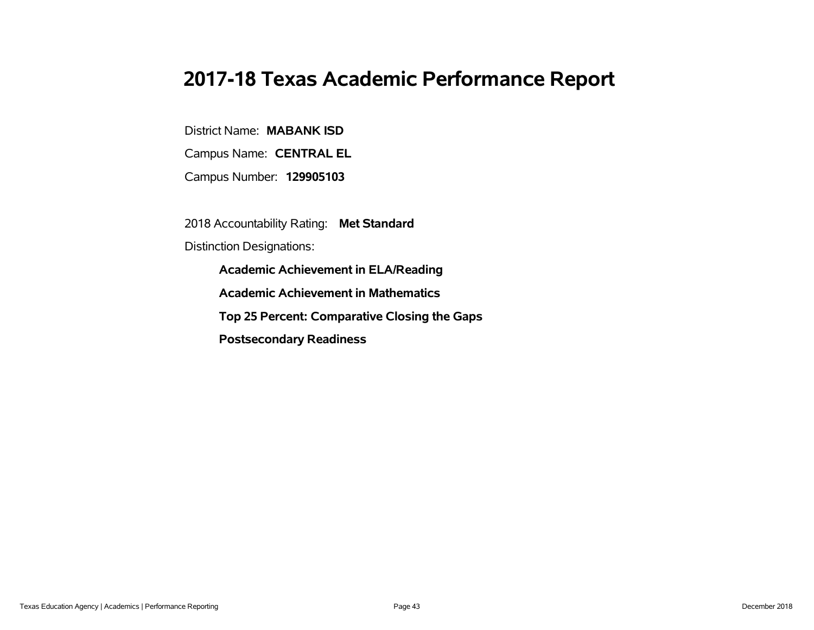# **2017-18 Texas Academic Performance Report**

District Name: **MABANK ISD**

Campus Name: **CENTRAL EL**

Campus Number: **129905103**

2018 Accountability Rating: **Met Standard**

Distinction Designations:

**Academic Achievement in ELA/Reading**

**Academic Achievement in Mathematics**

**Top 25 Percent: Comparative Closing the Gaps**

**Postsecondary Readiness**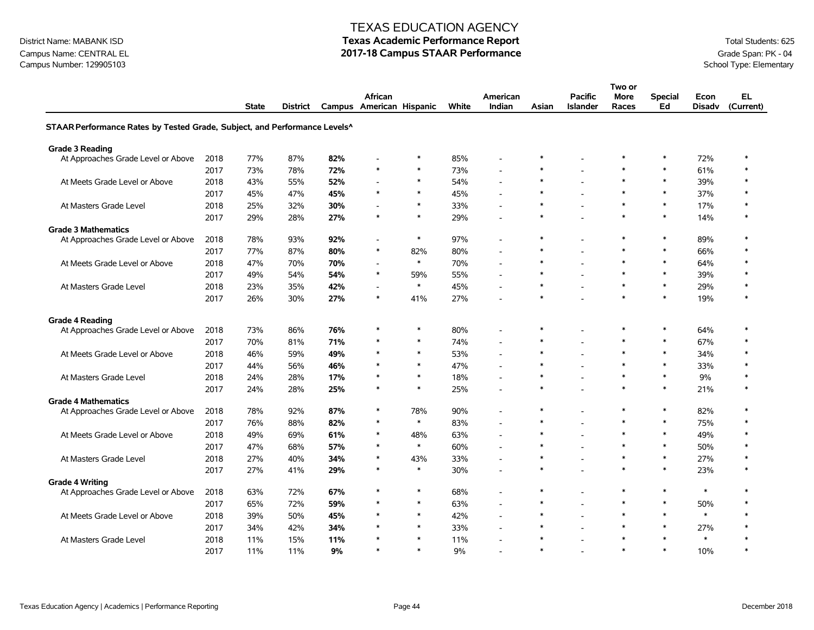# District Name: MABANK ISD **Texas Academic Performance Report Texas Academic Performance Report** Total Students: 625

|                                                                           |      |              |                 |     |                                     |        |       |                          |        |                                   | Two or        |                      |                       |                 |
|---------------------------------------------------------------------------|------|--------------|-----------------|-----|-------------------------------------|--------|-------|--------------------------|--------|-----------------------------------|---------------|----------------------|-----------------------|-----------------|
|                                                                           |      | <b>State</b> | <b>District</b> |     | African<br>Campus American Hispanic |        | White | American<br>Indian       | Asian  | <b>Pacific</b><br><b>Islander</b> | More<br>Races | <b>Special</b><br>Ed | Econ<br><b>Disady</b> | EL<br>(Current) |
| STAAR Performance Rates by Tested Grade, Subject, and Performance Levels^ |      |              |                 |     |                                     |        |       |                          |        |                                   |               |                      |                       |                 |
| <b>Grade 3 Reading</b>                                                    |      |              |                 |     |                                     |        |       |                          |        |                                   |               |                      |                       |                 |
| At Approaches Grade Level or Above                                        | 2018 | 77%          | 87%             | 82% |                                     | $\ast$ | 85%   | $\overline{a}$           | $\ast$ |                                   | $\ast$        | $\ast$               | 72%                   | $\ast$          |
|                                                                           | 2017 | 73%          | 78%             | 72% | $\ast$                              | $\ast$ | 73%   | $\overline{a}$           | $\ast$ |                                   | $\ast$        | $\ast$               | 61%                   | $\ast$          |
| At Meets Grade Level or Above                                             | 2018 | 43%          | 55%             | 52% |                                     | $\ast$ | 54%   | $\overline{\phantom{a}}$ | $\ast$ |                                   | $\ast$        | $\ast$               | 39%                   | $\ast$          |
|                                                                           | 2017 | 45%          | 47%             | 45% | $\ast$                              | $\ast$ | 45%   | $\overline{a}$           | $\ast$ |                                   | $\ast$        | $\ast$               | 37%                   | $\ast$          |
| At Masters Grade Level                                                    | 2018 | 25%          | 32%             | 30% |                                     | $\ast$ | 33%   | $\overline{a}$           | $\ast$ |                                   | $\ast$        | $\ast$               | 17%                   | $\ast$          |
|                                                                           | 2017 | 29%          | 28%             | 27% | $\ast$                              | $\ast$ | 29%   | $\overline{a}$           | $\ast$ |                                   | $\ast$        | $\ast$               | 14%                   |                 |
| <b>Grade 3 Mathematics</b>                                                |      |              |                 |     |                                     |        |       |                          |        |                                   |               |                      |                       |                 |
| At Approaches Grade Level or Above                                        | 2018 | 78%          | 93%             | 92% |                                     | $\ast$ | 97%   | $\overline{a}$           | $\ast$ |                                   | $\ast$        | $\ast$               | 89%                   | $\ast$          |
|                                                                           | 2017 | 77%          | 87%             | 80% | $\ast$                              | 82%    | 80%   | $\overline{a}$           | $\ast$ |                                   | $\ast$        | $\ast$               | 66%                   | $\ast$          |
| At Meets Grade Level or Above                                             | 2018 | 47%          | 70%             | 70% | $\overline{a}$                      | $\ast$ | 70%   | $\overline{a}$           | $\ast$ |                                   | $\ast$        | $\ast$               | 64%                   | $\ast$          |
|                                                                           | 2017 | 49%          | 54%             | 54% | $\ast$                              | 59%    | 55%   | $\blacksquare$           | $\ast$ |                                   | $\ast$        | $\ast$               | 39%                   |                 |
| At Masters Grade Level                                                    | 2018 | 23%          | 35%             | 42% |                                     | $\ast$ | 45%   | $\overline{a}$           | $\ast$ |                                   | $\ast$        | $\ast$               | 29%                   | $\ast$          |
|                                                                           | 2017 | 26%          | 30%             | 27% | $\ast$                              | 41%    | 27%   |                          | $\ast$ |                                   | $\ast$        | $\ast$               | 19%                   | $\ast$          |
| <b>Grade 4 Reading</b>                                                    |      |              |                 |     |                                     |        |       |                          |        |                                   |               |                      |                       |                 |
| At Approaches Grade Level or Above                                        | 2018 | 73%          | 86%             | 76% | $\ast$                              | $\ast$ | 80%   | $\overline{a}$           | $\ast$ |                                   | $\ast$        | $\ast$               | 64%                   | $\ast$          |
|                                                                           | 2017 | 70%          | 81%             | 71% | $\ast$                              | $\ast$ | 74%   | $\overline{a}$           | $\ast$ |                                   | $\ast$        | $\ast$               | 67%                   | $\ast$          |
| At Meets Grade Level or Above                                             | 2018 | 46%          | 59%             | 49% | $\ast$                              | $\ast$ | 53%   | $\overline{a}$           | $\ast$ |                                   | $\ast$        | $\ast$               | 34%                   | $\ast$          |
|                                                                           | 2017 | 44%          | 56%             | 46% | $\ast$                              | $\ast$ | 47%   | $\overline{a}$           | $\ast$ |                                   | $\ast$        | $\ast$               | 33%                   | $\ast$          |
| At Masters Grade Level                                                    | 2018 | 24%          | 28%             | 17% | $\ast$                              | $\ast$ | 18%   | $\overline{a}$           | $\ast$ |                                   | $\ast$        | $\ast$               | 9%                    | $\ast$          |
|                                                                           | 2017 | 24%          | 28%             | 25% | $\ast$                              | $\ast$ | 25%   | $\overline{a}$           | $\ast$ |                                   | $\ast$        | $\ast$               | 21%                   | $\ast$          |
| <b>Grade 4 Mathematics</b>                                                |      |              |                 |     |                                     |        |       |                          |        |                                   |               |                      |                       |                 |
| At Approaches Grade Level or Above                                        | 2018 | 78%          | 92%             | 87% | $\ast$                              | 78%    | 90%   | $\overline{a}$           | $\ast$ |                                   | $\ast$        | $\ast$               | 82%                   | $\ast$          |
|                                                                           | 2017 | 76%          | 88%             | 82% | $\ast$                              | $\ast$ | 83%   | $\overline{a}$           | $\ast$ |                                   | $\ast$        | $\ast$               | 75%                   | $\ast$          |
| At Meets Grade Level or Above                                             | 2018 | 49%          | 69%             | 61% | $\ast$                              | 48%    | 63%   | $\overline{a}$           | $\ast$ |                                   | $\ast$        | $\ast$               | 49%                   | $\ast$          |
|                                                                           | 2017 | 47%          | 68%             | 57% | $\ast$                              | $\ast$ | 60%   | $\overline{a}$           | $\ast$ |                                   | $\ast$        | $\ast$               | 50%                   |                 |
| At Masters Grade Level                                                    | 2018 | 27%          | 40%             | 34% | $\ast$                              | 43%    | 33%   | ÷.                       | $\ast$ | $\sim$                            | $\ast$        | $\ast$               | 27%                   | $\ast$          |
|                                                                           | 2017 | 27%          | 41%             | 29% | $\ast$                              | $\ast$ | 30%   | $\overline{a}$           | $\ast$ |                                   | $\ast$        | $\ast$               | 23%                   |                 |
| <b>Grade 4 Writing</b>                                                    |      |              |                 |     |                                     |        |       |                          |        |                                   |               |                      |                       |                 |
| At Approaches Grade Level or Above                                        | 2018 | 63%          | 72%             | 67% | $\ast$                              | $\ast$ | 68%   | $\overline{a}$           | $\ast$ |                                   | $\ast$        | $\ast$               | $\ast$                | $\ast$          |
|                                                                           | 2017 | 65%          | 72%             | 59% | $\ast$                              | $\ast$ | 63%   | $\overline{a}$           | $\ast$ |                                   | $\ast$        | $\ast$               | 50%                   | $\ast$          |
| At Meets Grade Level or Above                                             | 2018 | 39%          | 50%             | 45% | $\ast$                              | $\ast$ | 42%   | $\overline{\phantom{a}}$ | $\ast$ |                                   | $\ast$        | $\ast$               | $\pmb{\ast}$          | $\ast$          |
|                                                                           | 2017 | 34%          | 42%             | 34% |                                     | $\ast$ | 33%   | $\overline{\phantom{a}}$ | $\ast$ |                                   | $\ast$        | $\ast$               | 27%                   |                 |
| At Masters Grade Level                                                    | 2018 | 11%          | 15%             | 11% |                                     | $\ast$ | 11%   | $\overline{a}$           | *      | $\overline{\phantom{a}}$          | $\star$       | $\ast$               | $\ast$                |                 |
|                                                                           | 2017 | 11%          | 11%             | 9%  | $\ast$                              | $\ast$ | 9%    |                          | $\ast$ |                                   | $\ast$        | $\ast$               | 10%                   | $\ast$          |

# Campus Name: CENTRAL EL **2017-18 Campus STAAR Performance** Grade Span: PK - 04<br>Campus Number: 129905103<br>School Type: Elementary Campus Number: 129905103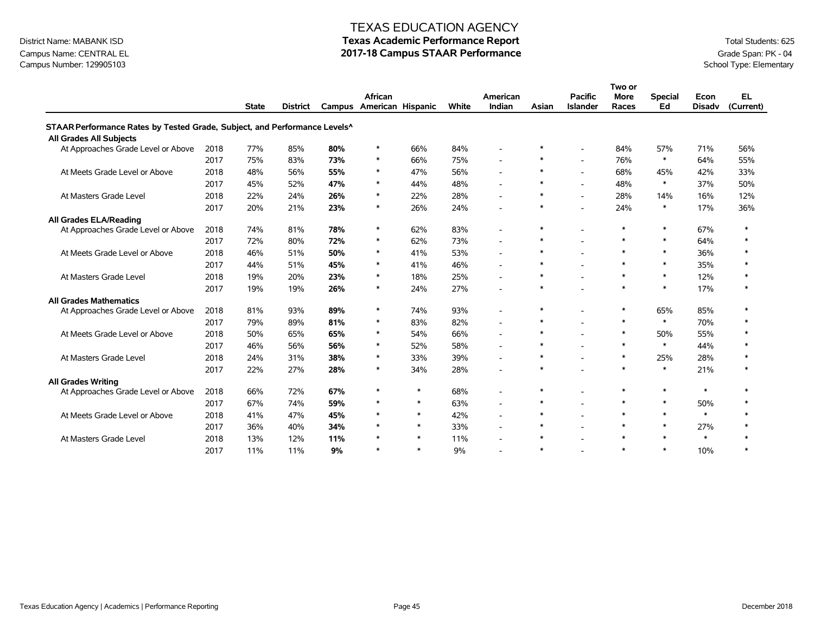## Campus Name: CENTRAL EL **2017-18 Campus STAAR Performance** Grade Span: PK - 04<br>Campus Number: 129905103<br>School Type: Elementary Campus Number: 129905103

## TEXAS EDUCATION AGENCY

# District Name: MABANK ISD **Texas Academic Performance Report Texas Academic Performance Report** Total Students: 625

|                                                                           |      |              |                 |     |                          |        |       |                          |        |                          | Two or      |                |               |              |
|---------------------------------------------------------------------------|------|--------------|-----------------|-----|--------------------------|--------|-------|--------------------------|--------|--------------------------|-------------|----------------|---------------|--------------|
|                                                                           |      |              |                 |     | African                  |        |       | American                 |        | <b>Pacific</b>           | <b>More</b> | <b>Special</b> | Econ          | EL.          |
|                                                                           |      | <b>State</b> | <b>District</b> |     | Campus American Hispanic |        | White | Indian                   | Asian  | <b>Islander</b>          | Races       | Ed             | <b>Disadv</b> | (Current)    |
| STAAR Performance Rates by Tested Grade, Subject, and Performance Levels^ |      |              |                 |     |                          |        |       |                          |        |                          |             |                |               |              |
| <b>All Grades All Subjects</b>                                            |      |              |                 |     |                          |        |       |                          |        |                          |             |                |               |              |
| At Approaches Grade Level or Above                                        | 2018 | 77%          | 85%             | 80% | $\ast$                   | 66%    | 84%   | $\overline{\phantom{a}}$ | $\ast$ |                          | 84%         | 57%            | 71%           | 56%          |
|                                                                           | 2017 | 75%          | 83%             | 73% | $\ast$                   | 66%    | 75%   | $\sim$                   | $\ast$ |                          | 76%         | $\ast$         | 64%           | 55%          |
| At Meets Grade Level or Above                                             | 2018 | 48%          | 56%             | 55% | $\ast$                   | 47%    | 56%   | $\overline{a}$           | $\ast$ | $\overline{\phantom{a}}$ | 68%         | 45%            | 42%           | 33%          |
|                                                                           | 2017 | 45%          | 52%             | 47% | $\ast$                   | 44%    | 48%   | $\blacksquare$           | $\ast$ |                          | 48%         | $\ast$         | 37%           | 50%          |
| At Masters Grade Level                                                    | 2018 | 22%          | 24%             | 26% | $\ast$                   | 22%    | 28%   | $\sim$                   | $\ast$ |                          | 28%         | 14%            | 16%           | 12%          |
|                                                                           | 2017 | 20%          | 21%             | 23% | $\ast$                   | 26%    | 24%   |                          | $\ast$ |                          | 24%         | $\ast$         | 17%           | 36%          |
| All Grades ELA/Reading                                                    |      |              |                 |     |                          |        |       |                          |        |                          |             |                |               |              |
| At Approaches Grade Level or Above                                        | 2018 | 74%          | 81%             | 78% | $\ast$                   | 62%    | 83%   | $\sim$                   | $\ast$ | $\blacksquare$           | $\ast$      | $\ast$         | 67%           | $\ast$       |
|                                                                           | 2017 | 72%          | 80%             | 72% | $\ast$                   | 62%    | 73%   | $\overline{\phantom{a}}$ | $\ast$ |                          | $\ast$      | $\ast$         | 64%           | $\ast$       |
| At Meets Grade Level or Above                                             | 2018 | 46%          | 51%             | 50% | $\ast$                   | 41%    | 53%   | $\overline{a}$           | $\ast$ |                          | $\ast$      | $\ast$         | 36%           | $\ast$       |
|                                                                           | 2017 | 44%          | 51%             | 45% | $\ast$                   | 41%    | 46%   | $\sim$                   | $\ast$ |                          | $\ast$      | $\ast$         | 35%           | $\ast$       |
| At Masters Grade Level                                                    | 2018 | 19%          | 20%             | 23% | $\ast$                   | 18%    | 25%   |                          | $\ast$ | $\overline{\phantom{a}}$ | $\ast$      | $\ast$         | 12%           | $\ast$       |
|                                                                           | 2017 | 19%          | 19%             | 26% | $\ast$                   | 24%    | 27%   |                          | $\ast$ |                          | $\ast$      | $\ast$         | 17%           | $\ast$       |
| <b>All Grades Mathematics</b>                                             |      |              |                 |     |                          |        |       |                          |        |                          |             |                |               |              |
| At Approaches Grade Level or Above                                        | 2018 | 81%          | 93%             | 89% | $\ast$                   | 74%    | 93%   | $\sim$                   | $\ast$ |                          | $\ast$      | 65%            | 85%           | $\ast$       |
|                                                                           | 2017 | 79%          | 89%             | 81% | $\ast$                   | 83%    | 82%   | $\overline{a}$           | $\ast$ |                          | $\ast$      | $\ast$         | 70%           | $\ast$       |
| At Meets Grade Level or Above                                             | 2018 | 50%          | 65%             | 65% | $\ast$                   | 54%    | 66%   | $\sim$                   | $\ast$ |                          | $\ast$      | 50%            | 55%           | $\ast$       |
|                                                                           | 2017 | 46%          | 56%             | 56% | $\ast$                   | 52%    | 58%   | $\sim$                   | $\ast$ |                          | $\ast$      | $\ast$         | 44%           | $\pmb{\ast}$ |
| At Masters Grade Level                                                    | 2018 | 24%          | 31%             | 38% | $\ast$                   | 33%    | 39%   |                          | $\ast$ |                          | $\ast$      | 25%            | 28%           | $\ast$       |
|                                                                           | 2017 | 22%          | 27%             | 28% | $\ast$                   | 34%    | 28%   |                          | $\ast$ |                          | $\ast$      | $\ast$         | 21%           | $\ast$       |
| <b>All Grades Writing</b>                                                 |      |              |                 |     |                          |        |       |                          |        |                          |             |                |               |              |
| At Approaches Grade Level or Above                                        | 2018 | 66%          | 72%             | 67% | $\ast$                   | $\ast$ | 68%   | $\overline{\phantom{a}}$ | $\ast$ | ۰                        | $\ast$      | $\ast$         | $\ast$        | $\pmb{\ast}$ |
|                                                                           | 2017 | 67%          | 74%             | 59% | $\ast$                   | $\ast$ | 63%   | $\overline{a}$           | $\ast$ |                          | $\ast$      | $\ast$         | 50%           | $\ast$       |
| At Meets Grade Level or Above                                             | 2018 | 41%          | 47%             | 45% | $\ast$                   | $\ast$ | 42%   | $\sim$                   | $\ast$ |                          | $\ast$      | $\ast$         | $\ast$        | $\ast$       |
|                                                                           | 2017 | 36%          | 40%             | 34% | $\ast$                   | $\ast$ | 33%   | $\overline{a}$           | $\ast$ |                          | $\ast$      | $\ast$         | 27%           | $\pmb{\ast}$ |
| At Masters Grade Level                                                    | 2018 | 13%          | 12%             | 11% | $\ast$                   | $\ast$ | 11%   | ÷.                       | $\ast$ |                          | $\ast$      | $\ast$         | $\ast$        | $\pmb{\ast}$ |
|                                                                           | 2017 | 11%          | 11%             | 9%  | $\ast$                   | $\ast$ | 9%    |                          | $\ast$ |                          | $\ast$      | $\ast$         | 10%           | $\ast$       |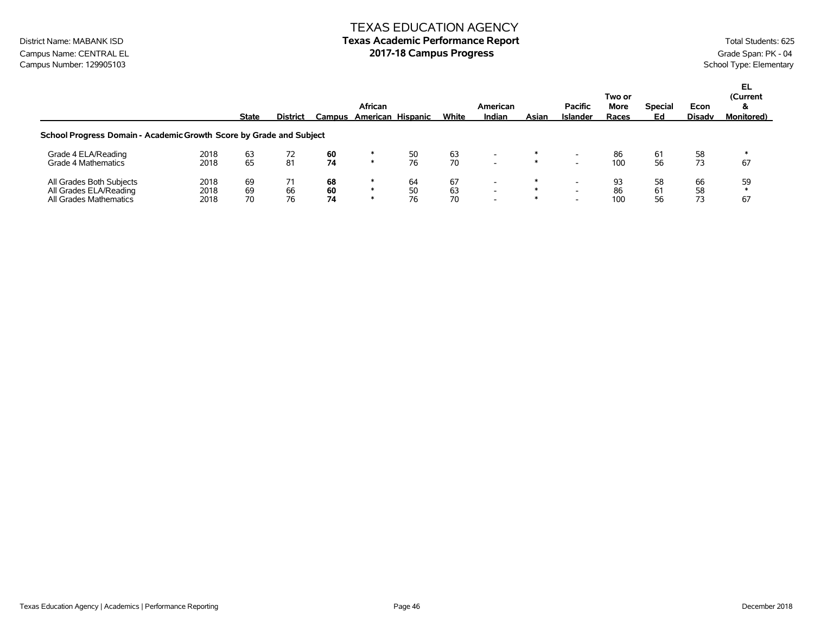## TEXAS EDUCATION AGENCY District Name: MABANK ISD **Texas Academic Performance Report Texas Academic Performance Report** Total Students: 625

Campus Name: CENTRAL EL **2017-18 Campus Progress** Campus Progress Campus Progress Campus Number: 129905103<br>Campus Number: 129905103 Campus Number: 129905103

|                                                                              |                      | <b>State</b>   | <b>District</b> | Campus         | African<br>American Hispanic |                | White          | American<br>Indian                                                               | Asian | <b>Pacific</b><br>Islander | Two or<br>More<br>Races | <b>Special</b><br>Ed | Econ<br><b>Disadv</b> | EL<br>(Current<br>&<br><b>Monitored</b> ) |
|------------------------------------------------------------------------------|----------------------|----------------|-----------------|----------------|------------------------------|----------------|----------------|----------------------------------------------------------------------------------|-------|----------------------------|-------------------------|----------------------|-----------------------|-------------------------------------------|
| School Progress Domain - Academic Growth Score by Grade and Subject          |                      |                |                 |                |                              |                |                |                                                                                  |       |                            |                         |                      |                       |                                           |
| Grade 4 ELA/Reading<br>Grade 4 Mathematics                                   | 2018<br>2018         | 63<br>65       | 72<br>81        | 60<br>74       | ∗                            | 50<br>76       | 63<br>70       | $\overline{\phantom{a}}$<br>$\overline{\phantom{a}}$                             | ∗     |                            | 86<br>100               | -61<br>56            | 58<br>73              | 67                                        |
| All Grades Both Subjects<br>All Grades ELA/Reading<br>All Grades Mathematics | 2018<br>2018<br>2018 | 69<br>69<br>70 | 71<br>66<br>76  | 68<br>60<br>74 |                              | 64<br>50<br>76 | 67<br>63<br>70 | $\overline{\phantom{0}}$<br>$\overline{\phantom{0}}$<br>$\overline{\phantom{0}}$ |       |                            | 93<br>86<br>100         | 58<br>61<br>56       | 66<br>58<br>73        | 59<br>67                                  |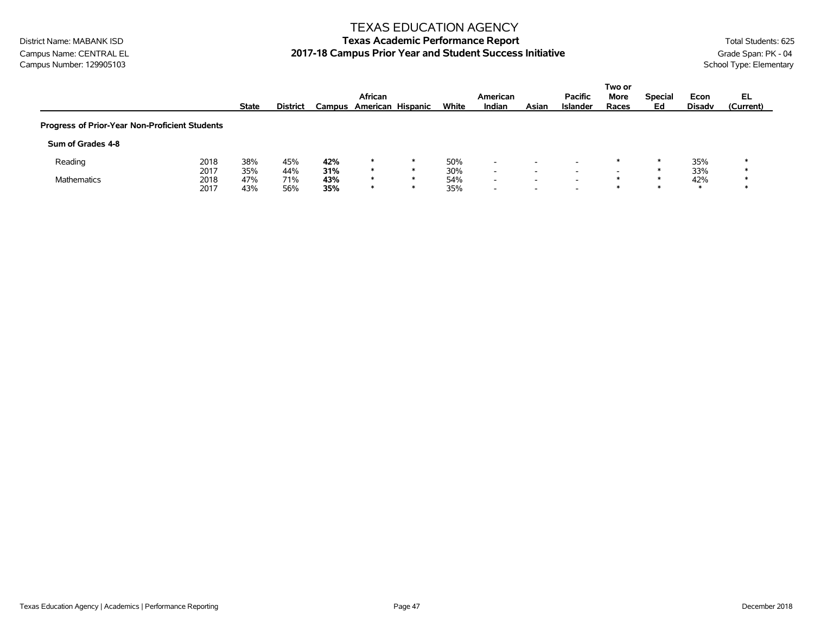### TEXAS EDUCATION AGENCY

# District Name: MABANK ISD **Texas Academic Performance Report Texas Academic Performance Report** Total Students: 625 Campus Name: CENTRAL EL **2017-18 Campus Prior Year and Student Success Initiative** Grade Span: PK - 04<br>Campus Number: 129905103<br>School Type: Elementary

|                                                |      |              |                 |        |         |                   |       |                          |       |                 | Two or                   |                |               |           |
|------------------------------------------------|------|--------------|-----------------|--------|---------|-------------------|-------|--------------------------|-------|-----------------|--------------------------|----------------|---------------|-----------|
|                                                |      |              |                 |        | African |                   |       | American                 |       | <b>Pacific</b>  | More                     | <b>Special</b> | Econ          | EL        |
|                                                |      | <b>State</b> | <b>District</b> | Campus |         | American Hispanic | White | Indian                   | Asian | <b>Islander</b> | Races                    | Ed             | <b>Disady</b> | (Current) |
| Progress of Prior-Year Non-Proficient Students |      |              |                 |        |         |                   |       |                          |       |                 |                          |                |               |           |
| Sum of Grades 4-8                              |      |              |                 |        |         |                   |       |                          |       |                 |                          |                |               |           |
| Reading                                        | 2018 | 38%          | 45%             | 42%    | ∗       | $\ast$            | 50%   | $\overline{\phantom{0}}$ | -     |                 | ж                        |                | 35%           |           |
|                                                | 2017 | 35%          | 44%             | 31%    | ∗       | $\ast$            | 30%   | $\overline{\phantom{0}}$ | -     | $\sim$          | $\overline{\phantom{0}}$ |                | 33%           |           |
| <b>Mathematics</b>                             | 2018 | 47%          | 71%             | 43%    | $\ast$  | *                 | 54%   | $\overline{\phantom{0}}$ | -     |                 |                          |                | 42%           |           |
|                                                | 2017 | 43%          | 56%             | 35%    | $\ast$  | $\ast$            | 35%   | $\overline{\phantom{0}}$ | -     |                 |                          |                |               |           |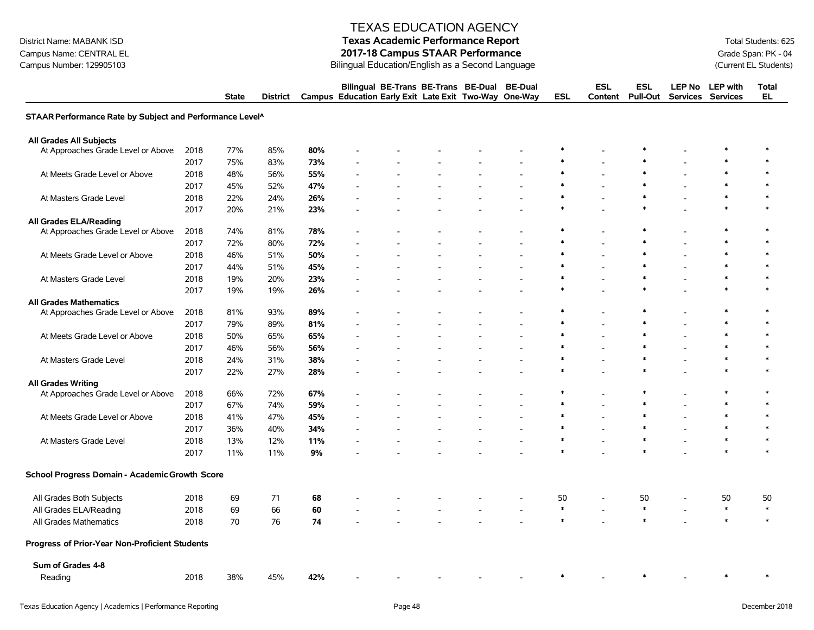# District Name: MABANK ISD **Texas Academic Performance Report Texas Academic Performance Report** Total Students: 625

Campus Name: CENTRAL EL **2017-18 Campus STAAR Performance**<br>2017-18 Campus STAAR Performance<br>2017-18 Campus STAAR Performance<br>2017-18 Campus STAAR Performance Bilingual Education/English as a Second Language

|                                                          |      | <b>State</b> | <b>District</b> |     | Campus Education Early Exit Late Exit Two-Way |  | Bilingual BE-Trans BE-Trans BE-Dual | <b>BE-Dual</b><br>One-Way | <b>ESL</b> | <b>ESL</b><br>Content    | <b>ESL</b><br><b>Pull-Out</b> | LEP No LEP with<br>Services Services | <b>Total</b><br><b>EL</b> |
|----------------------------------------------------------|------|--------------|-----------------|-----|-----------------------------------------------|--|-------------------------------------|---------------------------|------------|--------------------------|-------------------------------|--------------------------------------|---------------------------|
| STAAR Performance Rate by Subject and Performance Level^ |      |              |                 |     |                                               |  |                                     |                           |            |                          |                               |                                      |                           |
| <b>All Grades All Subjects</b>                           |      |              |                 |     |                                               |  |                                     |                           |            |                          |                               |                                      |                           |
| At Approaches Grade Level or Above                       | 2018 | 77%          | 85%             | 80% |                                               |  |                                     |                           |            |                          |                               |                                      | $\ast$                    |
|                                                          | 2017 | 75%          | 83%             | 73% |                                               |  |                                     |                           |            |                          |                               |                                      |                           |
| At Meets Grade Level or Above                            | 2018 | 48%          | 56%             | 55% |                                               |  |                                     |                           |            |                          |                               |                                      |                           |
|                                                          | 2017 | 45%          | 52%             | 47% |                                               |  |                                     |                           | $\ast$     |                          | $\ast$                        |                                      |                           |
| At Masters Grade Level                                   | 2018 | 22%          | 24%             | 26% |                                               |  |                                     |                           | $\ast$     |                          |                               | $\ast$                               |                           |
|                                                          | 2017 | 20%          | 21%             | 23% |                                               |  |                                     |                           |            |                          |                               |                                      |                           |
| <b>All Grades ELA/Reading</b>                            |      |              |                 |     |                                               |  |                                     |                           |            |                          |                               |                                      |                           |
| At Approaches Grade Level or Above                       | 2018 | 74%          | 81%             | 78% |                                               |  |                                     |                           | ∗          |                          | $\ast$                        | $\ast$                               | $\ast$                    |
|                                                          | 2017 | 72%          | 80%             | 72% |                                               |  |                                     |                           |            |                          |                               |                                      | $\ast$                    |
| At Meets Grade Level or Above                            | 2018 | 46%          | 51%             | 50% |                                               |  |                                     |                           | $\ast$     |                          | $\ast$                        | $\ast$                               | $\ast$                    |
|                                                          | 2017 | 44%          | 51%             | 45% |                                               |  |                                     |                           | $\ast$     |                          | $\ast$                        | $\ast$                               |                           |
| At Masters Grade Level                                   | 2018 | 19%          | 20%             | 23% |                                               |  |                                     |                           | $\ast$     |                          | $\ast$                        | $\ast$                               | $\ast$                    |
|                                                          | 2017 | 19%          | 19%             | 26% |                                               |  |                                     |                           |            |                          |                               |                                      |                           |
| <b>All Grades Mathematics</b>                            |      |              |                 |     |                                               |  |                                     |                           |            |                          |                               |                                      |                           |
| At Approaches Grade Level or Above                       | 2018 | 81%          | 93%             | 89% |                                               |  |                                     |                           | ∗          | $\overline{\phantom{a}}$ | $\ast$                        | $\ast$                               | $\ast$                    |
|                                                          | 2017 | 79%          | 89%             | 81% |                                               |  |                                     |                           | $\ast$     |                          | $\ast$                        | $\ast$                               | $\ast$                    |
| At Meets Grade Level or Above                            | 2018 | 50%          | 65%             | 65% |                                               |  |                                     |                           | $\ast$     |                          | $\ast$                        | $\ast$                               | $\ast$                    |
|                                                          | 2017 | 46%          | 56%             | 56% |                                               |  |                                     |                           | $\ast$     |                          | $\ast$                        | $\ast$                               | $\ast$                    |
| At Masters Grade Level                                   | 2018 | 24%          | 31%             | 38% |                                               |  |                                     |                           | $\ast$     |                          | $\ast$                        | $\ast$                               | $\ast$                    |
|                                                          | 2017 | 22%          | 27%             | 28% |                                               |  |                                     |                           |            |                          |                               | $\ast$                               | $\ast$                    |
| <b>All Grades Writing</b>                                |      |              |                 |     |                                               |  |                                     |                           |            |                          |                               |                                      |                           |
| At Approaches Grade Level or Above                       | 2018 | 66%          | 72%             | 67% |                                               |  |                                     |                           | $\ast$     |                          | $\ast$                        | $\ast$                               | $\ast$                    |
|                                                          | 2017 | 67%          | 74%             | 59% |                                               |  |                                     |                           | $\ast$     |                          | $\ast$                        |                                      | $\ast$                    |
| At Meets Grade Level or Above                            | 2018 | 41%          | 47%             | 45% |                                               |  |                                     |                           | $\ast$     |                          | $\ast$                        |                                      |                           |
|                                                          | 2017 | 36%          | 40%             | 34% |                                               |  |                                     |                           | $\ast$     |                          | $\ast$                        | $\ast$                               |                           |
| At Masters Grade Level                                   | 2018 | 13%          | 12%             | 11% |                                               |  |                                     |                           | $\ast$     |                          | $\ast$                        | $\ast$                               | $\ast$                    |
|                                                          | 2017 | 11%          | 11%             | 9%  |                                               |  |                                     |                           |            |                          |                               | $\ast$                               | $\ast$                    |
| School Progress Domain - Academic Growth Score           |      |              |                 |     |                                               |  |                                     |                           |            |                          |                               |                                      |                           |
| All Grades Both Subjects                                 | 2018 | 69           | 71              | 68  |                                               |  |                                     |                           | 50         |                          | 50                            | 50                                   | 50                        |
| All Grades ELA/Reading                                   | 2018 | 69           | 66              | 60  |                                               |  |                                     |                           | $\ast$     | $\overline{a}$           | $\ast$                        | $\ast$                               | $\ast$                    |
| All Grades Mathematics                                   | 2018 | 70           | 76              | 74  |                                               |  |                                     |                           |            |                          |                               |                                      | $\ast$                    |
| <b>Progress of Prior-Year Non-Proficient Students</b>    |      |              |                 |     |                                               |  |                                     |                           |            |                          |                               |                                      |                           |
| Sum of Grades 4-8                                        |      |              |                 |     |                                               |  |                                     |                           |            |                          |                               |                                      |                           |
| Reading                                                  | 2018 | 38%          | 45%             | 42% |                                               |  |                                     |                           |            |                          |                               |                                      | $\ast$                    |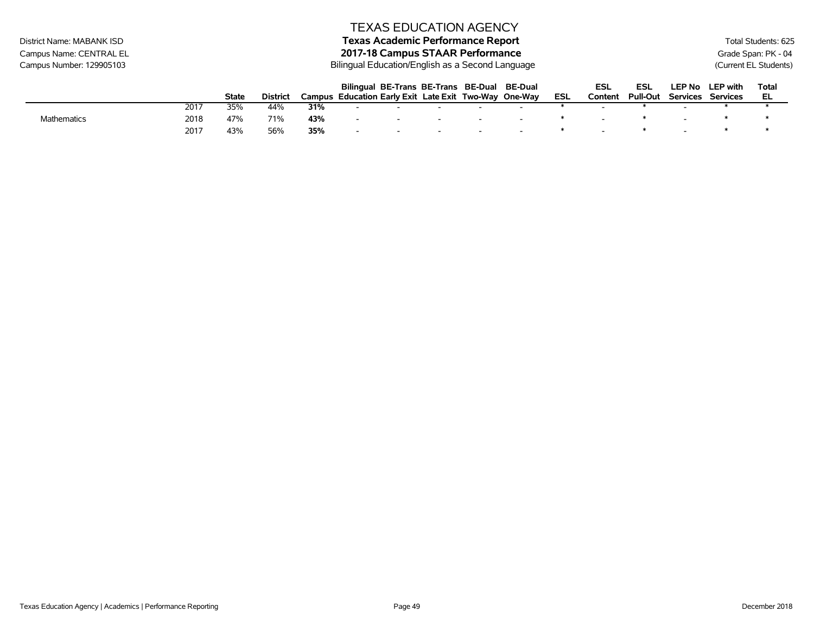# District Name: MABANK ISD **Texas Academic Performance Report Texas Academic Performance Report** Total Students: 625

Campus Name: CENTRAL EL **2017-18 Campus STAAR Performance**<br>2017-18 Campus STAAR Performance<br>2017-18 Campus STAAR Performance<br>2017-18 Campus STAAR Performance Bilingual Education/English as a Second Language (Current EL Students)

|             |      |       |                 |        |                          | Bilingual BE-Trans BE-Trans BE-Dual BE-Dual    |     |  |     | ESL     | ESL             | LEP No   | <b>LEP</b> with | Tota |
|-------------|------|-------|-----------------|--------|--------------------------|------------------------------------------------|-----|--|-----|---------|-----------------|----------|-----------------|------|
|             |      | State | <b>District</b> | Campus |                          | Education Early Exit Late Exit Two-Way One-Way |     |  | ESL | Content | <b>Pull-Out</b> | Services | Services        | EL   |
|             | 2017 | 35%   | 44%             | 31%    |                          |                                                |     |  |     |         |                 |          |                 |      |
| Mathematics | 2018 | 47%   | 71%             | 43%    | $\overline{\phantom{0}}$ |                                                | - - |  |     |         |                 |          |                 |      |
|             | 2017 | 43%   | 56%             | 35%    | $\overline{\phantom{a}}$ |                                                |     |  |     |         |                 |          |                 |      |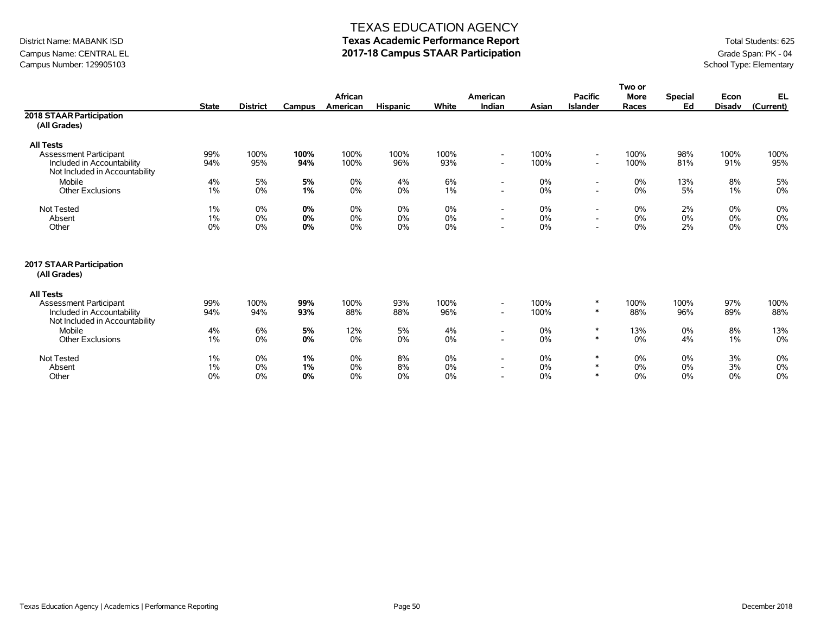# Campus Name: CENTRAL EL **2017-18 Campus STAAR Participation**<br>Campus Number: 129905103<br>School Type: Elementary Campus Number: 129905103

### TEXAS EDUCATION AGENCY

# District Name: MABANK ISD **Texas Academic Performance Report Texas Academic Performance Report** Total Students: 625

|                                                                                                                   |                |                 |                |                     |                 |                |                                                                                  |                   |                                                                                  | Two or               |                      |                       |                   |
|-------------------------------------------------------------------------------------------------------------------|----------------|-----------------|----------------|---------------------|-----------------|----------------|----------------------------------------------------------------------------------|-------------------|----------------------------------------------------------------------------------|----------------------|----------------------|-----------------------|-------------------|
|                                                                                                                   | <b>State</b>   | <b>District</b> | Campus         | African<br>American | <b>Hispanic</b> | White          | American<br>Indian                                                               | Asian             | <b>Pacific</b><br><b>Islander</b>                                                | <b>More</b><br>Races | <b>Special</b><br>Ed | Econ<br><b>Disadv</b> | EL<br>(Current)   |
| 2018 STAAR Participation<br>(All Grades)                                                                          |                |                 |                |                     |                 |                |                                                                                  |                   |                                                                                  |                      |                      |                       |                   |
| <b>All Tests</b><br><b>Assessment Participant</b><br>Included in Accountability<br>Not Included in Accountability | 99%<br>94%     | 100%<br>95%     | 100%<br>94%    | 100%<br>100%        | 100%<br>96%     | 100%<br>93%    | $\sim$<br>$\overline{\phantom{a}}$                                               | 100%<br>100%      | $\overline{\phantom{a}}$<br>$\overline{\phantom{0}}$                             | 100%<br>100%         | 98%<br>81%           | 100%<br>91%           | 100%<br>95%       |
| Mobile<br><b>Other Exclusions</b>                                                                                 | 4%<br>1%       | 5%<br>0%        | 5%<br>1%       | 0%<br>0%            | 4%<br>$0\%$     | 6%<br>$1\%$    | $\overline{\phantom{a}}$<br>$\overline{\phantom{a}}$                             | $0\%$<br>0%       | $\overline{\phantom{a}}$<br>$\overline{\phantom{a}}$                             | $0\%$<br>$0\%$       | 13%<br>5%            | 8%<br>1%              | 5%<br>0%          |
| Not Tested<br>Absent<br>Other                                                                                     | 1%<br>1%<br>0% | 0%<br>0%<br>0%  | 0%<br>0%<br>0% | 0%<br>0%<br>0%      | 0%<br>0%<br>0%  | 0%<br>0%<br>0% | $\overline{\phantom{a}}$<br>$\overline{\phantom{a}}$<br>$\overline{a}$           | 0%<br>$0\%$<br>0% | $\overline{\phantom{a}}$<br>$\overline{\phantom{a}}$<br>$\overline{\phantom{a}}$ | $0\%$<br>0%<br>0%    | 2%<br>0%<br>2%       | 0%<br>0%<br>0%        | 0%<br>0%<br>0%    |
| 2017 STAAR Participation<br>(All Grades)                                                                          |                |                 |                |                     |                 |                |                                                                                  |                   |                                                                                  |                      |                      |                       |                   |
| <b>All Tests</b><br>Assessment Participant<br>Included in Accountability<br>Not Included in Accountability        | 99%<br>94%     | 100%<br>94%     | 99%<br>93%     | 100%<br>88%         | 93%<br>88%      | 100%<br>96%    | $\overline{\phantom{a}}$<br>$\overline{\phantom{a}}$                             | 100%<br>100%      | $\ast$<br>$\ast$                                                                 | 100%<br>88%          | 100%<br>96%          | 97%<br>89%            | 100%<br>88%       |
| Mobile<br><b>Other Exclusions</b>                                                                                 | 4%<br>$1\%$    | 6%<br>0%        | 5%<br>0%       | 12%<br>0%           | 5%<br>0%        | 4%<br>0%       | $\overline{\phantom{a}}$<br>$\overline{\phantom{a}}$                             | 0%<br>$0\%$       | $\ast$<br>$\ast$                                                                 | 13%<br>0%            | 0%<br>4%             | 8%<br>1%              | 13%<br>0%         |
| Not Tested<br>Absent<br>Other                                                                                     | 1%<br>1%<br>0% | 0%<br>0%<br>0%  | 1%<br>1%<br>0% | 0%<br>0%<br>0%      | 8%<br>8%<br>0%  | 0%<br>0%<br>0% | $\overline{\phantom{a}}$<br>$\overline{\phantom{a}}$<br>$\overline{\phantom{0}}$ | 0%<br>0%<br>0%    | $\ast$<br>$\ast$<br>$\ast$                                                       | 0%<br>0%<br>0%       | 0%<br>0%<br>0%       | 3%<br>3%<br>0%        | 0%<br>$0\%$<br>0% |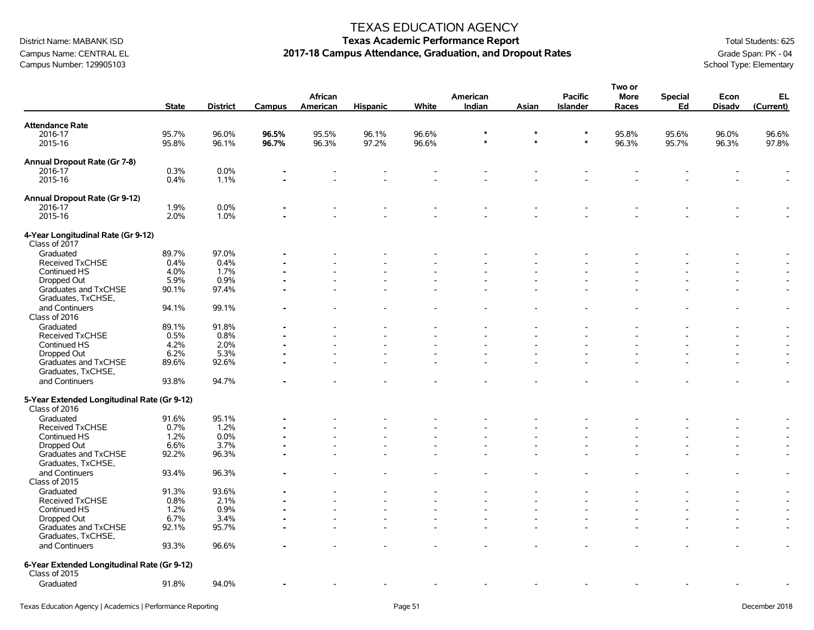Campus Name: CENTRAL EL **2017-18 Campus Attendance, Graduation, and Dropout Rates** Grade Span: PK - 04<br>Campus Number: 129905103<br>School Type: Elementary Campus Number: 129905103

### TEXAS EDUCATION AGENCY

# District Name: MABANK ISD **Texas Academic Performance Report Texas Academic Performance Report** Total Students: 625

**Two or**

|                                                                           | <b>State</b>   | <b>District</b> | Campus         | African<br>American | Hispanic       | White          | American<br>Indian | Asian            | <b>Pacific</b><br><b>Islander</b> | וט שעו<br>More<br>Races | <b>Special</b><br>Ed | Econ<br><b>Disadv</b> | EL<br>(Current)          |
|---------------------------------------------------------------------------|----------------|-----------------|----------------|---------------------|----------------|----------------|--------------------|------------------|-----------------------------------|-------------------------|----------------------|-----------------------|--------------------------|
| <b>Attendance Rate</b>                                                    |                |                 |                |                     |                |                |                    |                  |                                   |                         |                      |                       |                          |
| 2016-17<br>2015-16                                                        | 95.7%<br>95.8% | 96.0%<br>96.1%  | 96.5%<br>96.7% | 95.5%<br>96.3%      | 96.1%<br>97.2% | 96.6%<br>96.6% | $\ast$<br>$\ast$   | $\ast$<br>$\ast$ | $\ast$<br>$\ast$                  | 95.8%<br>96.3%          | 95.6%<br>95.7%       | 96.0%<br>96.3%        | 96.6%<br>97.8%           |
| Annual Dropout Rate (Gr 7-8)<br>2016-17                                   | 0.3%           | 0.0%            |                |                     |                |                |                    |                  |                                   |                         |                      |                       |                          |
| 2015-16                                                                   | 0.4%           | 1.1%            |                |                     |                |                |                    |                  |                                   |                         |                      |                       |                          |
| Annual Dropout Rate (Gr 9-12)                                             |                |                 |                |                     |                |                |                    |                  |                                   |                         |                      |                       |                          |
| 2016-17                                                                   | 1.9%           | 0.0%            |                |                     |                |                |                    |                  |                                   |                         |                      |                       |                          |
| 2015-16                                                                   | 2.0%           | 1.0%            |                |                     |                |                |                    |                  |                                   |                         |                      |                       |                          |
| 4-Year Longitudinal Rate (Gr 9-12)<br>Class of 2017                       |                |                 |                |                     |                |                |                    |                  |                                   |                         |                      |                       |                          |
| Graduated                                                                 | 89.7%          | 97.0%           |                |                     |                |                |                    |                  |                                   |                         |                      |                       |                          |
| Received TxCHSE                                                           | 0.4%           | 0.4%            |                |                     |                |                |                    |                  |                                   |                         |                      |                       |                          |
| Continued HS                                                              | 4.0%           | 1.7%            |                |                     |                |                |                    |                  |                                   |                         |                      |                       |                          |
| Dropped Out                                                               | 5.9%           | 0.9%            |                |                     |                |                |                    |                  |                                   |                         |                      |                       |                          |
| Graduates and TxCHSE                                                      | 90.1%          | 97.4%           |                |                     |                |                |                    |                  |                                   |                         |                      |                       |                          |
| Graduates, TxCHSE,<br>and Continuers                                      | 94.1%          | 99.1%           |                |                     |                |                |                    |                  |                                   |                         |                      |                       | $\overline{\phantom{a}}$ |
| Class of 2016                                                             |                |                 |                |                     |                |                |                    |                  |                                   |                         |                      |                       |                          |
| Graduated                                                                 | 89.1%          | 91.8%           |                |                     |                |                |                    |                  |                                   |                         |                      |                       |                          |
| Received TxCHSE                                                           | 0.5%           | 0.8%            |                |                     |                |                |                    |                  |                                   |                         |                      |                       |                          |
| Continued HS                                                              | 4.2%           | 2.0%            |                |                     |                |                |                    |                  |                                   |                         |                      |                       |                          |
| Dropped Out                                                               | 6.2%           | 5.3%            |                |                     |                |                |                    |                  |                                   |                         |                      |                       |                          |
| Graduates and TxCHSE<br>Graduates, TxCHSE,                                | 89.6%          | 92.6%           |                |                     |                |                |                    |                  |                                   |                         |                      |                       | $\overline{a}$           |
| and Continuers                                                            | 93.8%          | 94.7%           |                |                     |                |                |                    |                  |                                   |                         |                      |                       | $\overline{a}$           |
| 5-Year Extended Longitudinal Rate (Gr 9-12)<br>Class of 2016<br>Graduated | 91.6%          | 95.1%           |                |                     |                |                |                    |                  |                                   |                         |                      |                       |                          |
|                                                                           |                |                 |                |                     |                |                |                    |                  |                                   |                         |                      |                       |                          |
| <b>Received TxCHSE</b>                                                    | 0.7%           | 1.2%            |                |                     |                |                |                    |                  |                                   |                         |                      |                       |                          |
| Continued HS                                                              | 1.2%           | 0.0%            |                |                     |                |                |                    |                  |                                   |                         |                      |                       |                          |
| Dropped Out                                                               | 6.6%           | 3.7%            |                |                     |                |                |                    |                  |                                   |                         |                      |                       | $\overline{\phantom{a}}$ |
| Graduates and TxCHSE<br>Graduates, TxCHSE,                                | 92.2%          | 96.3%           |                |                     |                |                |                    |                  |                                   |                         |                      |                       |                          |
| and Continuers<br>Class of 2015                                           | 93.4%          | 96.3%           |                |                     |                |                |                    |                  |                                   |                         |                      |                       | $\blacksquare$           |
| Graduated                                                                 | 91.3%          | 93.6%           |                |                     |                |                |                    |                  |                                   |                         |                      | ۰                     | $\blacksquare$           |
| Received TxCHSE                                                           | 0.8%           | 2.1%            |                |                     |                |                |                    |                  |                                   |                         |                      |                       |                          |
|                                                                           | 1.2%           | 0.9%            |                |                     |                |                |                    |                  |                                   |                         |                      |                       |                          |
| Continued HS                                                              |                |                 |                |                     |                |                |                    |                  |                                   |                         |                      |                       |                          |
| Dropped Out                                                               | 6.7%           | 3.4%            |                |                     |                |                |                    |                  |                                   |                         |                      |                       | $\overline{\phantom{a}}$ |
| Graduates and TxCHSE<br>Graduates, TxCHSE,                                | 92.1%          | 95.7%           |                |                     |                |                |                    |                  |                                   |                         |                      |                       | $\blacksquare$           |
| and Continuers                                                            | 93.3%          | 96.6%           |                |                     |                |                |                    |                  |                                   |                         |                      |                       |                          |
| 6-Year Extended Longitudinal Rate (Gr 9-12)<br>Class of 2015              |                |                 |                |                     |                |                |                    |                  |                                   |                         |                      |                       |                          |
| Graduated                                                                 | 91.8%          | 94.0%           |                |                     |                |                |                    |                  |                                   |                         |                      |                       |                          |
|                                                                           |                |                 |                |                     |                |                |                    |                  |                                   |                         |                      |                       |                          |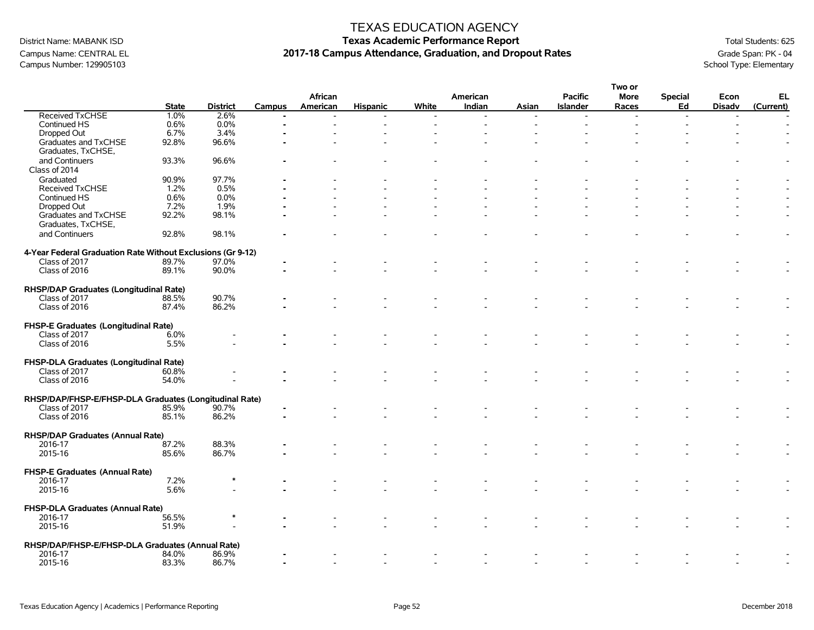## TEXAS EDUCATION AGENCY

# District Name: MABANK ISD **Texas Academic Performance Report Texas Academic Performance Report** Total Students: 625 Campus Name: CENTRAL EL **2017-18 Campus Attendance, Graduation, and Dropout Rates** Grade Span: PK - 04<br>Campus Number: 129905103<br>School Type: Elementary

**Two or**

|                                                             |              |                 |                |          |                 |       |          |       |                 | i wo or     |                |                |                |
|-------------------------------------------------------------|--------------|-----------------|----------------|----------|-----------------|-------|----------|-------|-----------------|-------------|----------------|----------------|----------------|
|                                                             |              |                 |                | African  |                 |       | American |       | <b>Pacific</b>  | <b>More</b> | <b>Special</b> | Econ           | EL             |
|                                                             | <b>State</b> | <b>District</b> | Campus         | American | <b>Hispanic</b> | White | Indian   | Asian | <b>Islander</b> | Races       | Ed             | <b>Disadv</b>  | (Current)      |
| Received TxCHSE                                             | 1.0%         | 2.6%            | $\blacksquare$ |          |                 |       |          |       |                 | $\sim$      | $\overline{a}$ | $\blacksquare$ |                |
| Continued HS                                                | 0.6%         | 0.0%            |                |          |                 |       |          |       |                 |             |                |                |                |
| Dropped Out                                                 | 6.7%         | 3.4%            |                |          |                 |       |          |       |                 |             |                |                |                |
|                                                             | 92.8%        | 96.6%           |                |          |                 |       |          |       |                 |             |                |                |                |
| Graduates and TxCHSE                                        |              |                 |                |          |                 |       |          |       |                 |             |                |                |                |
| Graduates, TxCHSE,                                          |              |                 |                |          |                 |       |          |       |                 |             |                |                |                |
| and Continuers                                              | 93.3%        | 96.6%           |                |          |                 |       |          |       |                 |             |                |                |                |
| Class of 2014                                               |              |                 |                |          |                 |       |          |       |                 |             |                |                |                |
| Graduated                                                   | 90.9%        | 97.7%           |                |          |                 |       |          |       |                 |             |                |                |                |
| Received TxCHSE                                             | 1.2%         | 0.5%            |                |          |                 |       |          |       |                 |             |                |                |                |
| Continued HS                                                | 0.6%         | 0.0%            |                |          |                 |       |          |       |                 |             |                |                |                |
| Dropped Out                                                 | 7.2%         | 1.9%            |                |          |                 |       |          |       |                 |             |                |                |                |
| Graduates and TxCHSE                                        | 92.2%        | 98.1%           |                |          |                 |       |          |       |                 |             |                |                |                |
| Graduates, TxCHSE,                                          |              |                 |                |          |                 |       |          |       |                 |             |                |                |                |
|                                                             |              |                 |                |          |                 |       |          |       |                 |             |                |                |                |
| and Continuers                                              | 92.8%        | 98.1%           |                |          |                 |       |          |       |                 |             |                |                | $\overline{a}$ |
|                                                             |              |                 |                |          |                 |       |          |       |                 |             |                |                |                |
| 4-Year Federal Graduation Rate Without Exclusions (Gr 9-12) |              |                 |                |          |                 |       |          |       |                 |             |                |                |                |
| Class of 2017                                               | 89.7%        | 97.0%           |                |          |                 |       |          |       |                 |             |                |                |                |
| Class of 2016                                               | 89.1%        | 90.0%           |                |          |                 |       |          |       |                 |             |                |                |                |
|                                                             |              |                 |                |          |                 |       |          |       |                 |             |                |                |                |
| RHSP/DAP Graduates (Longitudinal Rate)                      |              |                 |                |          |                 |       |          |       |                 |             |                |                |                |
| Class of 2017                                               | 88.5%        | 90.7%           |                |          |                 |       |          |       |                 |             |                |                |                |
| Class of 2016                                               | 87.4%        | 86.2%           |                |          |                 |       |          |       |                 |             |                |                |                |
|                                                             |              |                 |                |          |                 |       |          |       |                 |             |                |                |                |
|                                                             |              |                 |                |          |                 |       |          |       |                 |             |                |                |                |
| <b>FHSP-E Graduates (Longitudinal Rate)</b>                 |              |                 |                |          |                 |       |          |       |                 |             |                |                |                |
| Class of 2017                                               | 6.0%         |                 |                |          |                 |       |          |       |                 |             |                |                |                |
| Class of 2016                                               | 5.5%         |                 |                |          |                 |       |          |       |                 |             |                |                |                |
|                                                             |              |                 |                |          |                 |       |          |       |                 |             |                |                |                |
| FHSP-DLA Graduates (Longitudinal Rate)                      |              |                 |                |          |                 |       |          |       |                 |             |                |                |                |
| Class of 2017                                               | 60.8%        |                 |                |          |                 |       |          |       |                 |             |                |                |                |
| Class of 2016                                               | 54.0%        |                 |                |          |                 |       |          |       |                 |             |                |                |                |
|                                                             |              |                 |                |          |                 |       |          |       |                 |             |                |                |                |
|                                                             |              |                 |                |          |                 |       |          |       |                 |             |                |                |                |
| RHSP/DAP/FHSP-E/FHSP-DLA Graduates (Longitudinal Rate)      |              |                 |                |          |                 |       |          |       |                 |             |                |                |                |
| Class of 2017                                               | 85.9%        | 90.7%           |                |          |                 |       |          |       |                 |             |                |                |                |
| Class of 2016                                               | 85.1%        | 86.2%           |                |          |                 |       |          |       |                 |             |                |                |                |
|                                                             |              |                 |                |          |                 |       |          |       |                 |             |                |                |                |
| RHSP/DAP Graduates (Annual Rate)                            |              |                 |                |          |                 |       |          |       |                 |             |                |                |                |
| 2016-17                                                     | 87.2%        | 88.3%           |                |          |                 |       |          |       |                 |             |                |                |                |
| 2015-16                                                     | 85.6%        | 86.7%           |                |          |                 |       |          |       |                 |             |                |                |                |
|                                                             |              |                 |                |          |                 |       |          |       |                 |             |                |                |                |
| <b>FHSP-E Graduates (Annual Rate)</b>                       |              |                 |                |          |                 |       |          |       |                 |             |                |                |                |
| 2016-17                                                     | 7.2%         |                 |                |          |                 |       |          |       |                 |             |                |                |                |
|                                                             | 5.6%         |                 |                |          |                 |       |          |       |                 |             |                |                |                |
| 2015-16                                                     |              |                 |                |          |                 |       |          |       |                 |             |                |                |                |
|                                                             |              |                 |                |          |                 |       |          |       |                 |             |                |                |                |
| FHSP-DLA Graduates (Annual Rate)                            |              |                 |                |          |                 |       |          |       |                 |             |                |                |                |
| 2016-17                                                     | 56.5%        |                 |                |          |                 |       |          |       |                 |             |                |                |                |
| 2015-16                                                     | 51.9%        |                 |                |          |                 |       |          |       |                 |             |                |                |                |
|                                                             |              |                 |                |          |                 |       |          |       |                 |             |                |                |                |
| RHSP/DAP/FHSP-E/FHSP-DLA Graduates (Annual Rate)            |              |                 |                |          |                 |       |          |       |                 |             |                |                |                |
| 2016-17                                                     | 84.0%        | 86.9%           |                |          |                 |       |          |       |                 |             |                |                |                |
| 2015-16                                                     | 83.3%        | 86.7%           |                |          |                 |       |          |       |                 |             |                |                |                |
|                                                             |              |                 |                |          |                 |       |          |       |                 |             |                |                |                |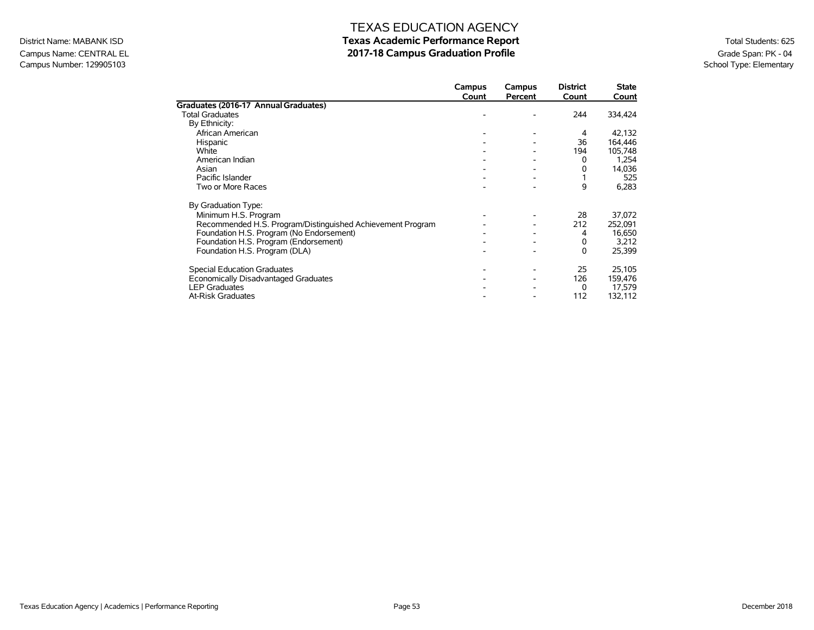## Campus Name: CENTRAL EL **2017-18 Campus Graduation Profile** Graduation Profile Graduation Profile Graduation Profile<br>Campus Number: 129905103 School Type: Elementary Campus Number: 129905103

## TEXAS EDUCATION AGENCY District Name: MABANK ISD **Texas Academic Performance Report Texas Academic Performance Report** Total Students: 625

|                                                            | Campus<br>Count | Campus<br>Percent | <b>District</b><br>Count | <b>State</b><br>Count |
|------------------------------------------------------------|-----------------|-------------------|--------------------------|-----------------------|
| Graduates (2016-17 Annual Graduates)                       |                 |                   |                          |                       |
| <b>Total Graduates</b>                                     |                 |                   | 244                      | 334,424               |
| By Ethnicity:                                              |                 |                   |                          |                       |
| African American                                           |                 |                   | 4                        | 42,132                |
| Hispanic                                                   |                 |                   | 36                       | 164,446               |
| White                                                      |                 |                   | 194                      | 105,748               |
| American Indian                                            |                 |                   | 0                        | 1,254                 |
| Asian                                                      |                 |                   | 0                        | 14,036                |
| Pacific Islander                                           |                 |                   |                          | 525                   |
| Two or More Races                                          |                 |                   | 9                        | 6,283                 |
| By Graduation Type:                                        |                 |                   |                          |                       |
| Minimum H.S. Program                                       |                 |                   | 28                       | 37,072                |
| Recommended H.S. Program/Distinguished Achievement Program |                 |                   | 212                      | 252,091               |
| Foundation H.S. Program (No Endorsement)                   |                 |                   | 4                        | 16,650                |
| Foundation H.S. Program (Endorsement)                      |                 |                   | 0                        | 3,212                 |
| Foundation H.S. Program (DLA)                              |                 |                   | 0                        | 25,399                |
| <b>Special Education Graduates</b>                         |                 |                   | 25                       | 25,105                |
| Economically Disadvantaged Graduates                       |                 |                   | 126                      | 159,476               |
| <b>LEP Graduates</b>                                       |                 |                   | 0                        | 17,579                |
| <b>At-Risk Graduates</b>                                   |                 |                   | 112                      | 132,112               |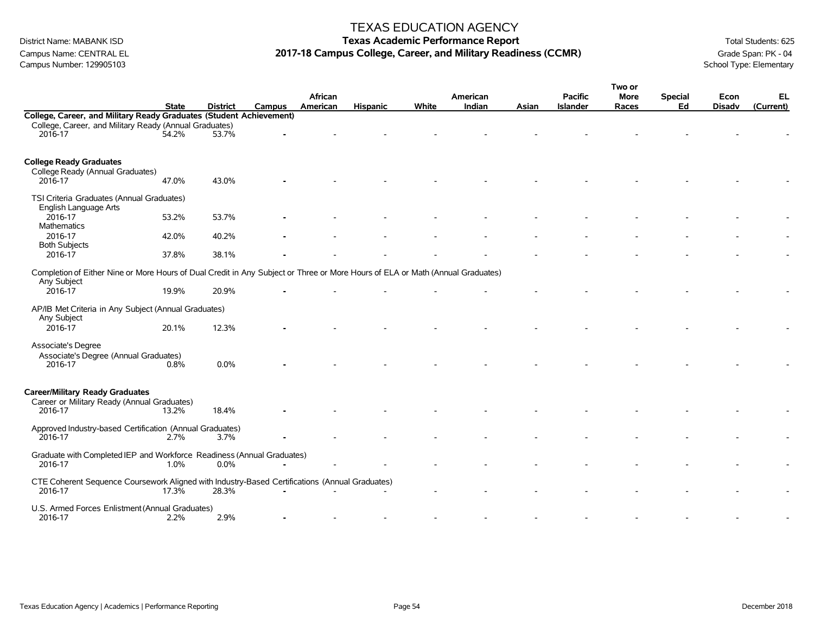## TEXAS EDUCATION AGENCY

# District Name: MABANK ISD **Texas Academic Performance Report Texas Academic Performance Report** Total Students: 625 Campus Name: CENTRAL EL **2017-18 Campus College, Career, and Military Readiness (CCMR)** Grade Span: PK - 04<br>Campus Number: 129905103<br>School Type: Elementary

|                                                                                                                                               | <b>State</b> | <b>District</b> | <b>Campus</b> | African<br>American | <b>Hispanic</b> | White | American<br>Indian |       | <b>Pacific</b><br><b>Islander</b> | Two or<br><b>More</b> | <b>Special</b><br>Ed | Econ<br><b>Disadv</b> | EL<br>(Current) |
|-----------------------------------------------------------------------------------------------------------------------------------------------|--------------|-----------------|---------------|---------------------|-----------------|-------|--------------------|-------|-----------------------------------|-----------------------|----------------------|-----------------------|-----------------|
| College, Career, and Military Ready Graduates (Student Achievement)                                                                           |              |                 |               |                     |                 |       |                    | Asian |                                   | Races                 |                      |                       |                 |
| College, Career, and Military Ready (Annual Graduates)<br>2016-17                                                                             | 54.2%        | 53.7%           |               |                     |                 |       |                    |       |                                   |                       |                      |                       |                 |
| <b>College Ready Graduates</b><br>College Ready (Annual Graduates)<br>2016-17                                                                 | 47.0%        | 43.0%           |               |                     |                 |       |                    |       |                                   |                       |                      |                       |                 |
| TSI Criteria Graduates (Annual Graduates)<br>English Language Arts                                                                            |              |                 |               |                     |                 |       |                    |       |                                   |                       |                      |                       |                 |
| 2016-17<br>Mathematics                                                                                                                        | 53.2%        | 53.7%           |               |                     |                 |       |                    |       |                                   |                       |                      |                       |                 |
| 2016-17<br><b>Both Subjects</b>                                                                                                               | 42.0%        | 40.2%           |               |                     |                 |       |                    |       |                                   |                       |                      |                       |                 |
| 2016-17                                                                                                                                       | 37.8%        | 38.1%           |               |                     |                 |       |                    |       |                                   |                       |                      |                       |                 |
| Completion of Either Nine or More Hours of Dual Credit in Any Subject or Three or More Hours of ELA or Math (Annual Graduates)<br>Any Subject |              |                 |               |                     |                 |       |                    |       |                                   |                       |                      |                       |                 |
| 2016-17                                                                                                                                       | 19.9%        | 20.9%           |               |                     |                 |       |                    |       |                                   |                       |                      |                       |                 |
| AP/IB Met Criteria in Any Subject (Annual Graduates)<br>Any Subject                                                                           |              |                 |               |                     |                 |       |                    |       |                                   |                       |                      |                       |                 |
| 2016-17                                                                                                                                       | 20.1%        | 12.3%           |               |                     |                 |       |                    |       |                                   |                       |                      |                       |                 |
| Associate's Degree<br>Associate's Degree (Annual Graduates)<br>2016-17                                                                        | 0.8%         | 0.0%            |               |                     |                 |       |                    |       |                                   |                       |                      |                       |                 |
| <b>Career/Military Ready Graduates</b><br>Career or Military Ready (Annual Graduates)                                                         |              |                 |               |                     |                 |       |                    |       |                                   |                       |                      |                       |                 |
| 2016-17                                                                                                                                       | 13.2%        | 18.4%           |               |                     |                 |       |                    |       |                                   |                       |                      |                       |                 |
| Approved Industry-based Certification (Annual Graduates)<br>2016-17                                                                           | 2.7%         | 3.7%            |               |                     |                 |       |                    |       |                                   |                       |                      |                       |                 |
| Graduate with Completed IEP and Workforce Readiness (Annual Graduates)<br>2016-17                                                             | 1.0%         | 0.0%            |               |                     |                 |       |                    |       |                                   |                       |                      |                       |                 |
| CTE Coherent Sequence Coursework Aligned with Industry-Based Certifications (Annual Graduates)<br>2016-17                                     | 17.3%        | 28.3%           |               |                     |                 |       |                    |       |                                   |                       |                      |                       |                 |
| U.S. Armed Forces Enlistment (Annual Graduates)<br>2016-17                                                                                    | 2.2%         | 2.9%            |               |                     |                 |       |                    |       |                                   |                       |                      |                       |                 |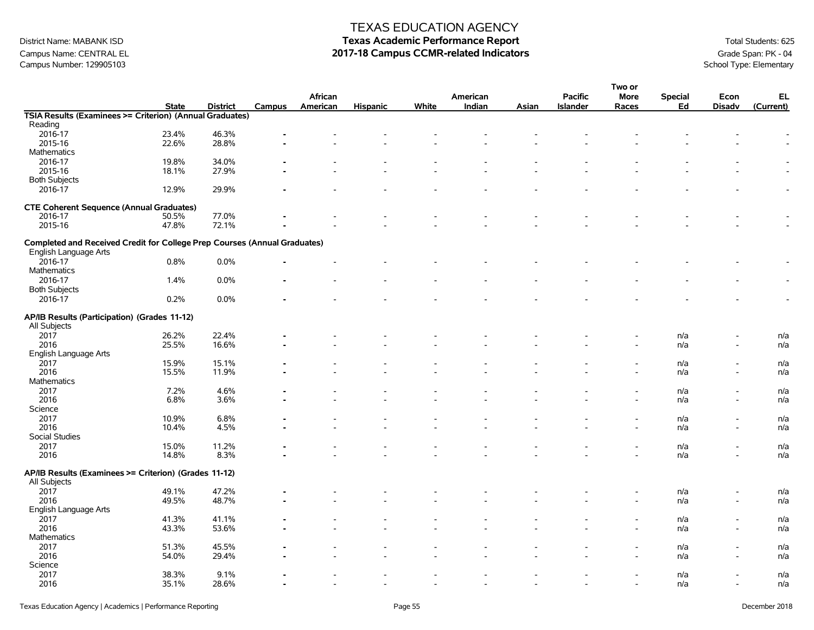# Campus Name: CENTRAL EL **2017-18 Campus CCMR-related Indicators** Grade Span: PK - 04<br>Campus Number: 129905103<br>School Type: Elementary Campus Number: 129905103

## TEXAS EDUCATION AGENCY

# District Name: MABANK ISD **Texas Academic Performance Report Texas Academic Performance Report** Total Students: 625

|                                                                           |              |                 |        |          |                          |       |          |       |                 | Two or                   |                |                          |           |
|---------------------------------------------------------------------------|--------------|-----------------|--------|----------|--------------------------|-------|----------|-------|-----------------|--------------------------|----------------|--------------------------|-----------|
|                                                                           |              |                 |        | African  |                          |       | American |       | <b>Pacific</b>  | <b>More</b>              | <b>Special</b> | Econ                     | EL        |
|                                                                           | <b>State</b> | <b>District</b> | Campus | American | <b>Hispanic</b>          | White | Indian   | Asian | <b>Islander</b> | Races                    | Ed             | <b>Disadv</b>            | (Current) |
| TSIA Results (Examinees >= Criterion) (Annual Graduates)                  |              |                 |        |          |                          |       |          |       |                 |                          |                |                          |           |
| Reading                                                                   |              |                 |        |          |                          |       |          |       |                 |                          |                |                          |           |
| 2016-17                                                                   | 23.4%        | 46.3%           |        |          |                          |       |          |       |                 |                          |                |                          |           |
| 2015-16                                                                   | 22.6%        | 28.8%           |        |          |                          |       |          |       |                 |                          |                |                          |           |
| <b>Mathematics</b>                                                        |              |                 |        |          |                          |       |          |       |                 |                          |                |                          |           |
| 2016-17                                                                   | 19.8%        | 34.0%           |        |          |                          |       |          |       |                 |                          |                |                          |           |
| 2015-16                                                                   | 18.1%        | 27.9%           |        |          |                          |       |          |       |                 |                          |                |                          |           |
| <b>Both Subjects</b>                                                      |              |                 |        |          |                          |       |          |       |                 |                          |                |                          |           |
| 2016-17                                                                   | 12.9%        | 29.9%           |        |          |                          |       |          |       |                 |                          |                |                          |           |
|                                                                           |              |                 |        |          |                          |       |          |       |                 |                          |                |                          |           |
| <b>CTE Coherent Sequence (Annual Graduates)</b>                           |              |                 |        |          |                          |       |          |       |                 |                          |                |                          |           |
| 2016-17                                                                   | 50.5%        | 77.0%           |        |          |                          |       |          |       |                 |                          |                |                          |           |
| 2015-16                                                                   | 47.8%        | 72.1%           |        |          |                          |       |          |       |                 |                          |                |                          |           |
|                                                                           |              |                 |        |          |                          |       |          |       |                 |                          |                |                          |           |
| Completed and Received Credit for College Prep Courses (Annual Graduates) |              |                 |        |          |                          |       |          |       |                 |                          |                |                          |           |
| English Language Arts                                                     |              |                 |        |          |                          |       |          |       |                 |                          |                |                          |           |
|                                                                           |              |                 |        |          |                          |       |          |       |                 |                          |                |                          |           |
| 2016-17                                                                   | 0.8%         | 0.0%            |        |          |                          |       |          |       |                 |                          |                |                          |           |
| Mathematics                                                               |              |                 |        |          |                          |       |          |       |                 |                          |                |                          |           |
| 2016-17                                                                   | 1.4%         | 0.0%            |        |          |                          |       |          |       |                 |                          |                |                          |           |
| <b>Both Subjects</b>                                                      |              |                 |        |          |                          |       |          |       |                 |                          |                |                          |           |
| 2016-17                                                                   | 0.2%         | 0.0%            |        |          |                          |       |          |       |                 |                          |                |                          |           |
|                                                                           |              |                 |        |          |                          |       |          |       |                 |                          |                |                          |           |
| AP/IB Results (Participation) (Grades 11-12)                              |              |                 |        |          |                          |       |          |       |                 |                          |                |                          |           |
| All Subjects                                                              |              |                 |        |          |                          |       |          |       |                 |                          |                |                          |           |
| 2017                                                                      | 26.2%        | 22.4%           |        |          |                          |       |          |       |                 |                          | n/a            |                          | n/a       |
| 2016                                                                      | 25.5%        | 16.6%           |        |          |                          |       |          |       |                 |                          | n/a            |                          | n/a       |
| English Language Arts                                                     |              |                 |        |          |                          |       |          |       |                 |                          |                |                          |           |
| 2017                                                                      | 15.9%        | 15.1%           |        |          |                          |       |          |       |                 |                          | n/a            |                          | n/a       |
| 2016                                                                      | 15.5%        | 11.9%           |        |          |                          |       |          |       |                 |                          | n/a            | $\overline{\phantom{a}}$ | n/a       |
| <b>Mathematics</b>                                                        |              |                 |        |          |                          |       |          |       |                 |                          |                |                          |           |
| 2017                                                                      | 7.2%         | 4.6%            |        |          |                          |       |          |       |                 |                          | n/a            | $\overline{\phantom{a}}$ | n/a       |
| 2016                                                                      | 6.8%         | 3.6%            |        |          |                          |       |          |       |                 |                          | n/a            | $\blacksquare$           | n/a       |
| Science                                                                   |              |                 |        |          |                          |       |          |       |                 |                          |                |                          |           |
| 2017                                                                      | 10.9%        | 6.8%            |        |          |                          |       |          |       |                 |                          | n/a            |                          | n/a       |
| 2016                                                                      | 10.4%        | 4.5%            |        |          |                          |       |          |       |                 |                          |                | $\overline{\phantom{a}}$ | n/a       |
| Social Studies                                                            |              |                 |        |          |                          |       |          |       |                 |                          | n/a            |                          |           |
|                                                                           |              |                 |        |          |                          |       |          |       |                 |                          |                |                          |           |
| 2017                                                                      | 15.0%        | 11.2%           |        |          |                          |       |          |       |                 |                          | n/a            |                          | n/a       |
| 2016                                                                      | 14.8%        | 8.3%            |        |          |                          |       |          |       |                 |                          | n/a            |                          | n/a       |
| AP/IB Results (Examinees >= Criterion) (Grades 11-12)                     |              |                 |        |          |                          |       |          |       |                 |                          |                |                          |           |
|                                                                           |              |                 |        |          |                          |       |          |       |                 |                          |                |                          |           |
| All Subjects                                                              |              |                 |        |          |                          |       |          |       |                 |                          |                |                          |           |
| 2017                                                                      | 49.1%        | 47.2%           |        |          |                          |       |          |       |                 |                          | n/a            |                          | n/a       |
| 2016                                                                      | 49.5%        | 48.7%           |        |          |                          |       |          |       |                 |                          | n/a            |                          | n/a       |
| English Language Arts                                                     |              |                 |        |          |                          |       |          |       |                 |                          |                |                          |           |
| 2017                                                                      | 41.3%        | 41.1%           |        |          |                          |       |          |       |                 |                          | n/a            |                          | n/a       |
| 2016                                                                      | 43.3%        | 53.6%           |        |          |                          |       |          |       |                 |                          | n/a            | $\overline{\phantom{a}}$ | n/a       |
| <b>Mathematics</b>                                                        |              |                 |        |          |                          |       |          |       |                 |                          |                |                          |           |
| 2017                                                                      | 51.3%        | 45.5%           |        |          |                          |       |          |       |                 |                          | n/a            |                          | n/a       |
| 2016                                                                      | 54.0%        | 29.4%           |        |          |                          |       |          |       |                 |                          | n/a            |                          | n/a       |
| Science                                                                   |              |                 |        |          |                          |       |          |       |                 |                          |                |                          |           |
| 2017                                                                      | 38.3%        | 9.1%            |        |          |                          |       |          |       |                 |                          | n/a            |                          | n/a       |
| 2016                                                                      | 35.1%        | 28.6%           |        |          | $\overline{\phantom{a}}$ |       | $\sim$   |       | $\blacksquare$  | $\overline{\phantom{a}}$ | n/a            | $\overline{\phantom{a}}$ | n/a       |
|                                                                           |              |                 |        |          |                          |       |          |       |                 |                          |                |                          |           |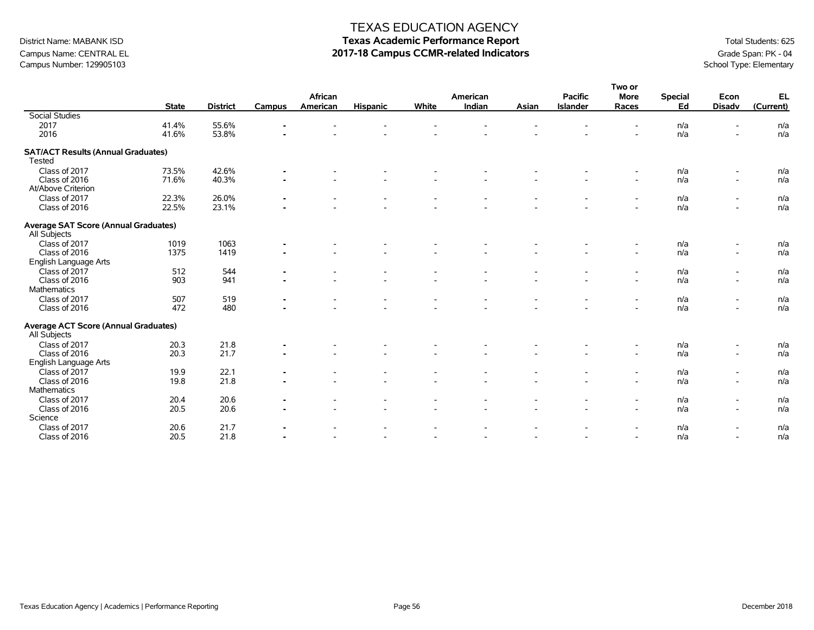## District Name: MABANK ISD **Texas Academic Performance Report** Total Students: 625 Campus Name: CENTRAL EL **2017-18 Campus CCMR-related Indicators** Grade Span: PK - 04<br>Campus Number: 129905103

Class of 2017 512 544 **-** - - - - - - - n/a - n/a Class of 2016 903 941 **-** - - - - - - - n/a - n/a

Class of 2017 507 519 **-** - - - - - - - n/a - n/a Class of 2016 472 480 **-** - - - - - - - n/a - n/a

Class of 2017 20.3 21.8 **-** - - - - - - - n/a - n/a Class of 2016 20.3 21.7 **-** - - - - - - - n/a - n/a

Class of 2017 19.9 22.1 **-** - - - - - - - n/a - n/a Class of 2016 19.8 21.8 **-** - - - - - - - n/a - n/a

Class of 2017 20.4 20.6 **-** - - - - - - - n/a - n/a Class of 2016 20.5 20.6 **-** - - - - - - - n/a - n/a

Class of 2017 20.6 21.7 **-** - - - - - - - n/a - n/a Class of 2016 20.5 21.8 **-** - - - - - - - n/a - n/a

School Type: Elementary

| Campas I vaniber. 123303103                                 |              |                 |                |                          |                          |                          |                          |                          |                                   |                          |                      | $56000 + 7966$           |                 |
|-------------------------------------------------------------|--------------|-----------------|----------------|--------------------------|--------------------------|--------------------------|--------------------------|--------------------------|-----------------------------------|--------------------------|----------------------|--------------------------|-----------------|
|                                                             | <b>State</b> | <b>District</b> | Campus         | African<br>American      | <b>Hispanic</b>          | White                    | American<br>Indian       | Asian                    | <b>Pacific</b><br><b>Islander</b> | Two or<br>More<br>Races  | <b>Special</b><br>Ed | Econ<br><b>Disadv</b>    | EL<br>(Current) |
| <b>Social Studies</b>                                       |              |                 |                |                          |                          |                          |                          |                          |                                   |                          |                      |                          |                 |
| 2017                                                        | 41.4%        | 55.6%           | ж.             | $\overline{\phantom{a}}$ | $\overline{\phantom{a}}$ | $\overline{\phantom{a}}$ | $\overline{\phantom{a}}$ |                          |                                   | $\overline{\phantom{a}}$ | n/a                  | $\overline{\phantom{a}}$ | n/a             |
| 2016                                                        | 41.6%        | 53.8%           | $\blacksquare$ | $\overline{\phantom{0}}$ | $\overline{\phantom{0}}$ | $\overline{\phantom{0}}$ | $\overline{\phantom{0}}$ | $\overline{\phantom{0}}$ | $\overline{\phantom{a}}$          | $\overline{\phantom{0}}$ | n/a                  | $\overline{\phantom{a}}$ | n/a             |
| <b>SAT/ACT Results (Annual Graduates)</b><br>Tested         |              |                 |                |                          |                          |                          |                          |                          |                                   |                          |                      |                          |                 |
| Class of 2017                                               | 73.5%        | 42.6%           | $\sim$         | $\overline{\phantom{0}}$ | $\overline{\phantom{0}}$ | $\overline{\phantom{a}}$ | $\overline{\phantom{0}}$ |                          |                                   | $\overline{\phantom{a}}$ | n/a                  | $\overline{\phantom{a}}$ | n/a             |
| Class of 2016                                               | 71.6%        | 40.3%           | $\blacksquare$ | $\overline{\phantom{a}}$ | $\sim$                   | $\overline{\phantom{0}}$ | $\overline{\phantom{a}}$ | $\overline{\phantom{0}}$ | $\overline{\phantom{a}}$          | $\sim$                   | n/a                  | $\overline{\phantom{a}}$ | n/a             |
| At/Above Criterion                                          |              |                 |                |                          |                          |                          |                          |                          |                                   |                          |                      |                          |                 |
| Class of 2017                                               | 22.3%        | 26.0%           | $\blacksquare$ | $\overline{\phantom{0}}$ | $\overline{\phantom{0}}$ | $\overline{\phantom{a}}$ | $\overline{\phantom{a}}$ | $\overline{\phantom{0}}$ | $\overline{\phantom{a}}$          | $\overline{a}$           | n/a                  | -                        | n/a             |
| Class of 2016                                               | 22.5%        | 23.1%           | $\blacksquare$ | $\overline{\phantom{a}}$ | $\overline{\phantom{0}}$ | $\overline{\phantom{0}}$ | $\overline{a}$           | $\overline{\phantom{0}}$ | $\overline{\phantom{a}}$          | $\overline{\phantom{a}}$ | n/a                  | $\overline{\phantom{a}}$ | n/a             |
| <b>Average SAT Score (Annual Graduates)</b><br>All Subjects |              |                 |                |                          |                          |                          |                          |                          |                                   |                          |                      |                          |                 |
| Class of 2017                                               | 1019         | 1063            | $\blacksquare$ | $\overline{\phantom{a}}$ | $\overline{\phantom{0}}$ | $\overline{\phantom{a}}$ | $\overline{\phantom{a}}$ | $\overline{\phantom{0}}$ | $\overline{\phantom{a}}$          | $\sim$                   | n/a                  |                          | n/a             |
| Class of 2016                                               | 1375         | 1419            | $\blacksquare$ | $\overline{\phantom{0}}$ | $\overline{\phantom{0}}$ | $\overline{\phantom{a}}$ | $\overline{\phantom{0}}$ |                          |                                   | $\overline{\phantom{a}}$ | n/a                  | $\overline{\phantom{a}}$ | n/a             |

English Language Arts

English Language Arts

Mathematics<br>Class of 2017

Science<br>Class of 2017

**Average ACT Score (Annual Graduates)**

**Mathematics** 

All Subjects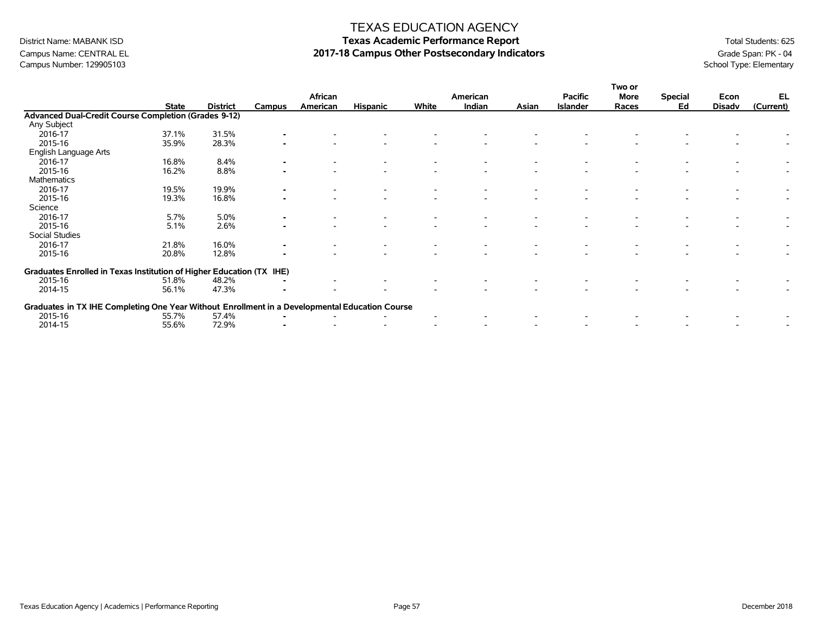## TEXAS EDUCATION AGENCY

# District Name: MABANK ISD **Texas Academic Performance Report Texas Academic Performance Report** Total Students: 625 Campus Name: CENTRAL EL **2017-18 Campus Other Postsecondary Indicators** Grade Span: PK - 04<br>Campus Number: 129905103<br>School Type: Elementary

|                                                                                                |              |                 |        | African  |                 |       | American |       | <b>Pacific</b>  | Two or<br>More | <b>Special</b> | Econ          | EL        |
|------------------------------------------------------------------------------------------------|--------------|-----------------|--------|----------|-----------------|-------|----------|-------|-----------------|----------------|----------------|---------------|-----------|
|                                                                                                | <b>State</b> | <b>District</b> | Campus | American | <b>Hispanic</b> | White | Indian   | Asian | <b>Islander</b> | Races          | Ed             | <b>Disadv</b> | (Current) |
| <b>Advanced Dual-Credit Course Completion (Grades 9-12)</b>                                    |              |                 |        |          |                 |       |          |       |                 |                |                |               |           |
| Any Subject                                                                                    |              |                 |        |          |                 |       |          |       |                 |                |                |               |           |
| 2016-17                                                                                        | 37.1%        | 31.5%           |        |          |                 |       |          |       |                 |                |                |               |           |
| 2015-16                                                                                        | 35.9%        | 28.3%           |        |          |                 |       |          |       |                 |                |                |               |           |
| English Language Arts                                                                          |              |                 |        |          |                 |       |          |       |                 |                |                |               |           |
| 2016-17                                                                                        | 16.8%        | 8.4%            |        |          |                 |       |          |       |                 |                |                |               |           |
| 2015-16                                                                                        | 16.2%        | 8.8%            |        |          |                 |       |          |       |                 |                |                |               |           |
| Mathematics                                                                                    |              |                 |        |          |                 |       |          |       |                 |                |                |               |           |
| 2016-17                                                                                        | 19.5%        | 19.9%           |        |          |                 |       |          |       |                 |                |                |               |           |
| 2015-16                                                                                        | 19.3%        | 16.8%           |        |          |                 |       |          |       |                 |                |                |               |           |
| Science                                                                                        |              |                 |        |          |                 |       |          |       |                 |                |                |               |           |
| 2016-17                                                                                        | 5.7%         | 5.0%            |        |          |                 |       |          |       |                 |                |                |               |           |
| 2015-16                                                                                        | 5.1%         | 2.6%            |        |          |                 |       |          |       |                 |                |                |               |           |
| Social Studies                                                                                 |              |                 |        |          |                 |       |          |       |                 |                |                |               |           |
| 2016-17                                                                                        | 21.8%        | 16.0%           |        |          |                 |       |          |       |                 |                |                |               |           |
| 2015-16                                                                                        | 20.8%        | 12.8%           |        |          |                 |       |          |       |                 |                |                |               |           |
| Graduates Enrolled in Texas Institution of Higher Education (TX IHE)                           |              |                 |        |          |                 |       |          |       |                 |                |                |               |           |
| 2015-16                                                                                        | 51.8%        | 48.2%           |        |          |                 |       |          |       |                 |                |                |               |           |
| 2014-15                                                                                        | 56.1%        | 47.3%           |        |          |                 |       |          |       |                 |                |                |               |           |
| Graduates in TX IHE Completing One Year Without Enrollment in a Developmental Education Course |              |                 |        |          |                 |       |          |       |                 |                |                |               |           |
| 2015-16                                                                                        | 55.7%        | 57.4%           |        |          |                 |       |          |       |                 |                |                |               |           |
| 2014-15                                                                                        | 55.6%        | 72.9%           |        |          |                 |       |          |       |                 |                |                |               |           |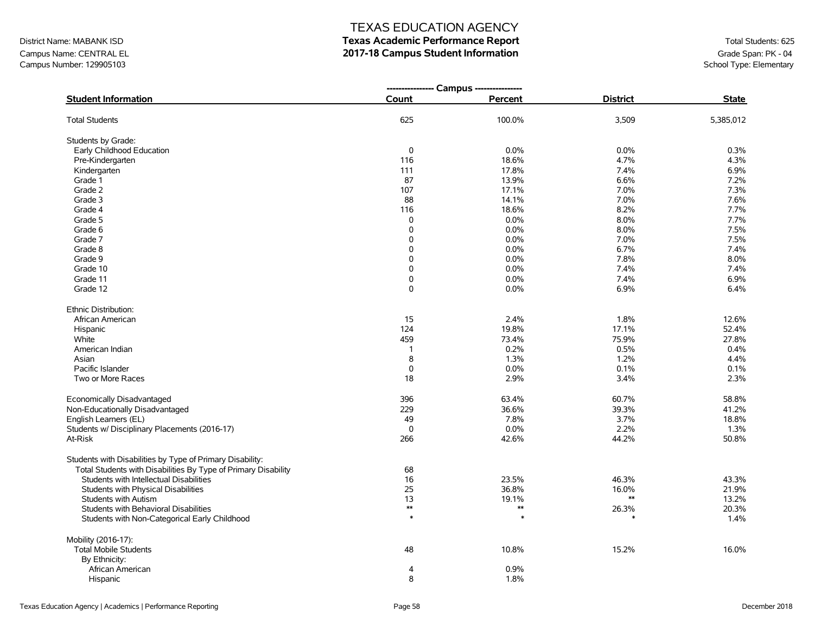# District Name: MABANK ISD **Texas Academic Performance Report Texas Academic Performance Report** Total Students: 625

Campus Name: CENTRAL EL **2017-18 Campus Student Information**<br>Campus Number: 129905103<br>School Type: Elementary Campus Number: 129905103

|                                                                |              | --------------- Campus --------------- |                 |              |
|----------------------------------------------------------------|--------------|----------------------------------------|-----------------|--------------|
| <b>Student Information</b>                                     | Count        | Percent                                | <b>District</b> | <b>State</b> |
| <b>Total Students</b>                                          | 625          | 100.0%                                 | 3,509           | 5,385,012    |
| Students by Grade:                                             |              |                                        |                 |              |
| Early Childhood Education                                      | $\mathbf 0$  | 0.0%                                   | 0.0%            | 0.3%         |
| Pre-Kindergarten                                               | 116          | 18.6%                                  | 4.7%            | 4.3%         |
| Kindergarten                                                   | 111          | 17.8%                                  | 7.4%            | 6.9%         |
| Grade 1                                                        | 87           | 13.9%                                  | 6.6%            | 7.2%         |
| Grade 2                                                        | 107          | 17.1%                                  | 7.0%            | 7.3%         |
| Grade 3                                                        | 88           | 14.1%                                  | 7.0%            | 7.6%         |
| Grade 4                                                        | 116          | 18.6%                                  | 8.2%            | 7.7%         |
| Grade 5                                                        | 0            | 0.0%                                   | 8.0%            | 7.7%         |
| Grade 6                                                        | 0            | 0.0%                                   | 8.0%            | 7.5%         |
| Grade 7                                                        | 0            | 0.0%                                   | 7.0%            | 7.5%         |
| Grade 8                                                        | 0            | 0.0%                                   | 6.7%            | 7.4%         |
| Grade 9                                                        | 0            | 0.0%                                   | 7.8%            | 8.0%         |
| Grade 10                                                       | 0            | 0.0%                                   | 7.4%            | 7.4%         |
| Grade 11                                                       | 0            | 0.0%                                   | 7.4%            | 6.9%         |
| Grade 12                                                       | 0            | 0.0%                                   | 6.9%            | 6.4%         |
| Ethnic Distribution:                                           |              |                                        |                 |              |
| African American                                               | 15           | 2.4%                                   | 1.8%            | 12.6%        |
| Hispanic                                                       | 124          | 19.8%                                  | 17.1%           | 52.4%        |
| White                                                          | 459          | 73.4%                                  | 75.9%           | 27.8%        |
| American Indian                                                | $\mathbf{1}$ | 0.2%                                   | 0.5%            | 0.4%         |
| Asian                                                          | 8            | 1.3%                                   | 1.2%            | 4.4%         |
| Pacific Islander                                               | 0            | 0.0%                                   | 0.1%            | 0.1%         |
| Two or More Races                                              | 18           | 2.9%                                   | 3.4%            | 2.3%         |
| Economically Disadvantaged                                     | 396          | 63.4%                                  | 60.7%           | 58.8%        |
| Non-Educationally Disadvantaged                                | 229          | 36.6%                                  | 39.3%           | 41.2%        |
| English Learners (EL)                                          | 49           | 7.8%                                   | 3.7%            | 18.8%        |
| Students w/ Disciplinary Placements (2016-17)                  | $\mathbf 0$  | 0.0%                                   | 2.2%            | 1.3%         |
| At-Risk                                                        | 266          | 42.6%                                  | 44.2%           | 50.8%        |
| Students with Disabilities by Type of Primary Disability:      |              |                                        |                 |              |
| Total Students with Disabilities By Type of Primary Disability | 68           |                                        |                 |              |
| Students with Intellectual Disabilities                        | 16           | 23.5%                                  | 46.3%           | 43.3%        |
| Students with Physical Disabilities                            | 25           | 36.8%                                  | 16.0%           | 21.9%        |
| Students with Autism                                           | 13           | 19.1%                                  | $\ast\ast$      | 13.2%        |
| Students with Behavioral Disabilities                          | $**$         | $**$                                   | 26.3%           | 20.3%        |
| Students with Non-Categorical Early Childhood                  | $\ast$       | $\ast$                                 |                 | 1.4%         |
| Mobility (2016-17):                                            |              |                                        |                 |              |
| <b>Total Mobile Students</b>                                   | 48           | 10.8%                                  | 15.2%           | 16.0%        |
| By Ethnicity:                                                  |              |                                        |                 |              |
| African American                                               | 4            | 0.9%                                   |                 |              |
| Hispanic                                                       | 8            | 1.8%                                   |                 |              |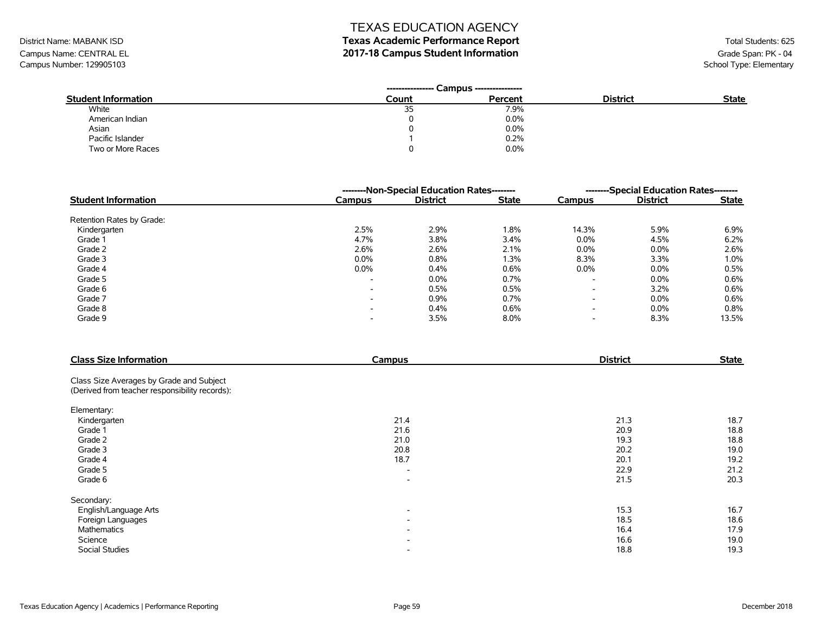# District Name: MABANK ISD **Texas Academic Performance Report Texas Academic Performance Report** Total Students: 625

Campus Name: CENTRAL EL **2017-18 Campus Student Information**<br>Campus Number: 129905103<br>School Type: Elementary Campus Number: 129905103

|                            | Campus ----------------<br>----------------- |         |                 |              |
|----------------------------|----------------------------------------------|---------|-----------------|--------------|
| <b>Student Information</b> | Count                                        | Percent | <b>District</b> | <b>State</b> |
| White                      | 35                                           | 7.9%    |                 |              |
| American Indian            |                                              | $0.0\%$ |                 |              |
| Asian                      |                                              | 0.0%    |                 |              |
| Pacific Islander           |                                              | 0.2%    |                 |              |
| Two or More Races          |                                              | 0.0%    |                 |              |

|                            | --------Non-Special Education Rates-------- |                 |              |                          | --------Special Education Rates-------- |              |  |
|----------------------------|---------------------------------------------|-----------------|--------------|--------------------------|-----------------------------------------|--------------|--|
| <b>Student Information</b> | <b>Campus</b>                               | <b>District</b> | <b>State</b> | Campus                   | <b>District</b>                         | <b>State</b> |  |
| Retention Rates by Grade:  |                                             |                 |              |                          |                                         |              |  |
| Kindergarten               | 2.5%                                        | 2.9%            | 1.8%         | 14.3%                    | 5.9%                                    | 6.9%         |  |
| Grade 1                    | 4.7%                                        | 3.8%            | 3.4%         | $0.0\%$                  | 4.5%                                    | 6.2%         |  |
| Grade 2                    | 2.6%                                        | 2.6%            | 2.1%         | $0.0\%$                  | 0.0%                                    | 2.6%         |  |
| Grade 3                    | 0.0%                                        | 0.8%            | 1.3%         | 8.3%                     | 3.3%                                    | 1.0%         |  |
| Grade 4                    | $0.0\%$                                     | 0.4%            | 0.6%         | $0.0\%$                  | 0.0%                                    | 0.5%         |  |
| Grade 5                    | $\overline{\phantom{0}}$                    | $0.0\%$         | 0.7%         | $\overline{\phantom{a}}$ | 0.0%                                    | 0.6%         |  |
| Grade 6                    | $\overline{\phantom{a}}$                    | 0.5%            | 0.5%         | $\overline{\phantom{a}}$ | 3.2%                                    | 0.6%         |  |
| Grade 7                    | $\overline{\phantom{0}}$                    | 0.9%            | 0.7%         | $\overline{\phantom{0}}$ | 0.0%                                    | 0.6%         |  |
| Grade 8                    | $\overline{\phantom{0}}$                    | 0.4%            | 0.6%         | $\overline{\phantom{a}}$ | 0.0%                                    | 0.8%         |  |
| Grade 9                    | $\overline{\phantom{0}}$                    | 3.5%            | 8.0%         | $\overline{\phantom{a}}$ | 8.3%                                    | 13.5%        |  |

| <b>Class Size Information</b>                  | Campus                   | <b>District</b> | <b>State</b> |
|------------------------------------------------|--------------------------|-----------------|--------------|
| Class Size Averages by Grade and Subject       |                          |                 |              |
| (Derived from teacher responsibility records): |                          |                 |              |
| Elementary:                                    |                          |                 |              |
| Kindergarten                                   | 21.4                     | 21.3            | 18.7         |
| Grade 1                                        | 21.6                     | 20.9            | 18.8         |
| Grade 2                                        | 21.0                     | 19.3            | 18.8         |
| Grade 3                                        | 20.8                     | 20.2            | 19.0         |
| Grade 4                                        | 18.7                     | 20.1            | 19.2         |
| Grade 5                                        | $\overline{\phantom{0}}$ | 22.9            | 21.2         |
| Grade 6                                        | $\overline{\phantom{a}}$ | 21.5            | 20.3         |
| Secondary:                                     |                          |                 |              |
| English/Language Arts                          | $\overline{\phantom{a}}$ | 15.3            | 16.7         |
| Foreign Languages                              | $\overline{\phantom{a}}$ | 18.5            | 18.6         |
| Mathematics                                    | $\overline{\phantom{a}}$ | 16.4            | 17.9         |
| Science                                        | $\overline{\phantom{0}}$ | 16.6            | 19.0         |
| <b>Social Studies</b>                          | $\overline{\phantom{a}}$ | 18.8            | 19.3         |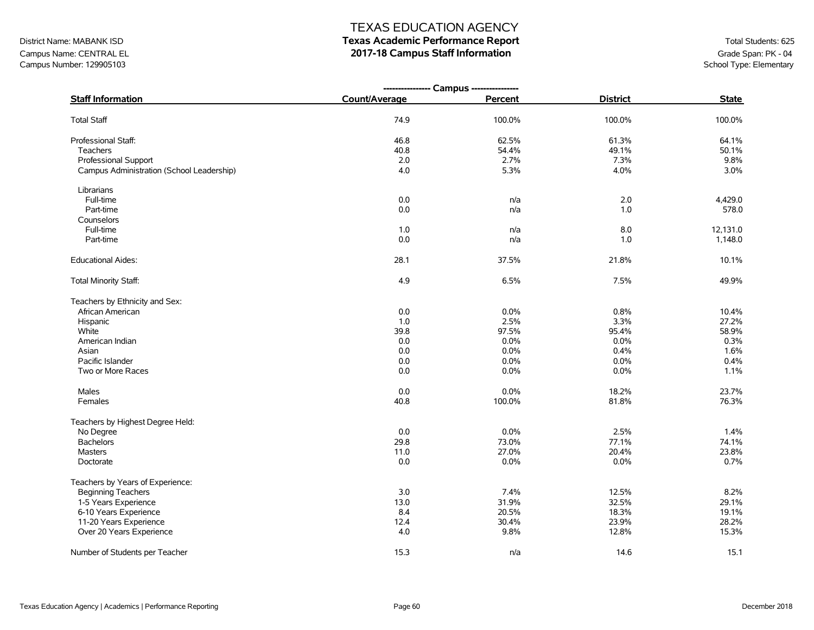# District Name: MABANK ISD **Texas Academic Performance Report Texas Academic Performance Report** Total Students: 625

Campus Name: CENTRAL EL **2017-18 Campus Staff Information**<br>Campus Number: 129905103<br>School Type: Elementary Campus Number: 129905103

|                                           | ---------------- Campus ---------------- |         |                 |              |
|-------------------------------------------|------------------------------------------|---------|-----------------|--------------|
| <b>Staff Information</b>                  | Count/Average                            | Percent | <b>District</b> | <b>State</b> |
| <b>Total Staff</b>                        | 74.9                                     | 100.0%  | 100.0%          | 100.0%       |
| Professional Staff:                       | 46.8                                     | 62.5%   | 61.3%           | 64.1%        |
| Teachers                                  | 40.8                                     | 54.4%   | 49.1%           | 50.1%        |
| Professional Support                      | 2.0                                      | 2.7%    | 7.3%            | 9.8%         |
| Campus Administration (School Leadership) | 4.0                                      | 5.3%    | 4.0%            | 3.0%         |
| Librarians                                |                                          |         |                 |              |
| Full-time                                 | 0.0                                      | n/a     | 2.0             | 4,429.0      |
| Part-time                                 | $0.0\,$                                  | n/a     | 1.0             | 578.0        |
| Counselors                                |                                          |         |                 |              |
| Full-time                                 | 1.0                                      | n/a     | 8.0             | 12,131.0     |
| Part-time                                 | 0.0                                      | n/a     | 1.0             | 1,148.0      |
| <b>Educational Aides:</b>                 | 28.1                                     | 37.5%   | 21.8%           | 10.1%        |
| Total Minority Staff:                     | 4.9                                      | 6.5%    | 7.5%            | 49.9%        |
| Teachers by Ethnicity and Sex:            |                                          |         |                 |              |
| African American                          | 0.0                                      | 0.0%    | 0.8%            | 10.4%        |
| Hispanic                                  | 1.0                                      | 2.5%    | 3.3%            | 27.2%        |
| White                                     | 39.8                                     | 97.5%   | 95.4%           | 58.9%        |
| American Indian                           | 0.0                                      | 0.0%    | 0.0%            | 0.3%         |
| Asian                                     | 0.0                                      | 0.0%    | 0.4%            | 1.6%         |
| Pacific Islander                          | 0.0                                      | 0.0%    | 0.0%            | 0.4%         |
| Two or More Races                         | 0.0                                      | 0.0%    | 0.0%            | 1.1%         |
| Males                                     | 0.0                                      | 0.0%    | 18.2%           | 23.7%        |
| Females                                   | 40.8                                     | 100.0%  | 81.8%           | 76.3%        |
| Teachers by Highest Degree Held:          |                                          |         |                 |              |
| No Degree                                 | 0.0                                      | 0.0%    | 2.5%            | 1.4%         |
| <b>Bachelors</b>                          | 29.8                                     | 73.0%   | 77.1%           | 74.1%        |
| <b>Masters</b>                            | 11.0                                     | 27.0%   | 20.4%           | 23.8%        |
| Doctorate                                 | 0.0                                      | $0.0\%$ | $0.0\%$         | 0.7%         |
| Teachers by Years of Experience:          |                                          |         |                 |              |
| <b>Beginning Teachers</b>                 | 3.0                                      | 7.4%    | 12.5%           | 8.2%         |
| 1-5 Years Experience                      | 13.0                                     | 31.9%   | 32.5%           | 29.1%        |
| 6-10 Years Experience                     | 8.4                                      | 20.5%   | 18.3%           | 19.1%        |
| 11-20 Years Experience                    | 12.4                                     | 30.4%   | 23.9%           | 28.2%        |
| Over 20 Years Experience                  | 4.0                                      | 9.8%    | 12.8%           | 15.3%        |
| Number of Students per Teacher            | 15.3                                     | n/a     | 14.6            | 15.1         |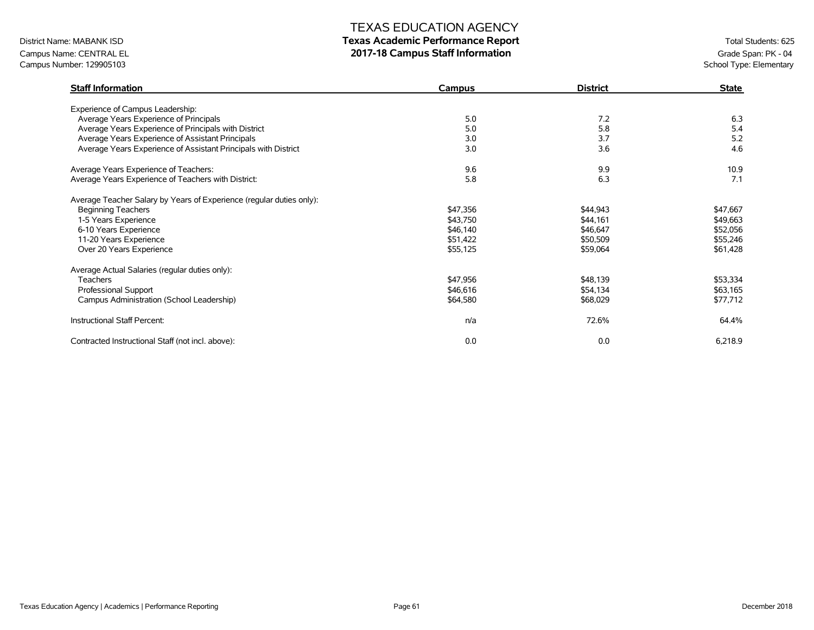# District Name: MABANK ISD **Texas Academic Performance Report Texas Academic Performance Report** Total Students: 625

Campus Name: CENTRAL EL **2017-18 Campus Staff Information**<br>Campus Number: 129905103<br>School Type: Elementary Campus Number: 129905103

| <b>Staff Information</b>                                             | <b>Campus</b> | <b>District</b> | <b>State</b> |
|----------------------------------------------------------------------|---------------|-----------------|--------------|
| Experience of Campus Leadership:                                     |               |                 |              |
| Average Years Experience of Principals                               | 5.0           | 7.2             | 6.3          |
| Average Years Experience of Principals with District                 | 5.0           | 5.8             | 5.4          |
| Average Years Experience of Assistant Principals                     | 3.0           | 3.7             | 5.2          |
| Average Years Experience of Assistant Principals with District       | 3.0           | 3.6             | 4.6          |
| Average Years Experience of Teachers:                                | 9.6           | 9.9             | 10.9         |
| Average Years Experience of Teachers with District:                  | 5.8           | 6.3             | 7.1          |
| Average Teacher Salary by Years of Experience (regular duties only): |               |                 |              |
| <b>Beginning Teachers</b>                                            | \$47,356      | \$44,943        | \$47,667     |
| 1-5 Years Experience                                                 | \$43,750      | \$44,161        | \$49,663     |
| 6-10 Years Experience                                                | \$46,140      | \$46,647        | \$52,056     |
| 11-20 Years Experience                                               | \$51,422      | \$50,509        | \$55,246     |
| Over 20 Years Experience                                             | \$55,125      | \$59,064        | \$61,428     |
| Average Actual Salaries (regular duties only):                       |               |                 |              |
| <b>Teachers</b>                                                      | \$47,956      | \$48,139        | \$53,334     |
| Professional Support                                                 | \$46,616      | \$54,134        | \$63,165     |
| Campus Administration (School Leadership)                            | \$64,580      | \$68,029        | \$77,712     |
| Instructional Staff Percent:                                         | n/a           | 72.6%           | 64.4%        |
| Contracted Instructional Staff (not incl. above):                    | 0.0           | 0.0             | 6,218.9      |